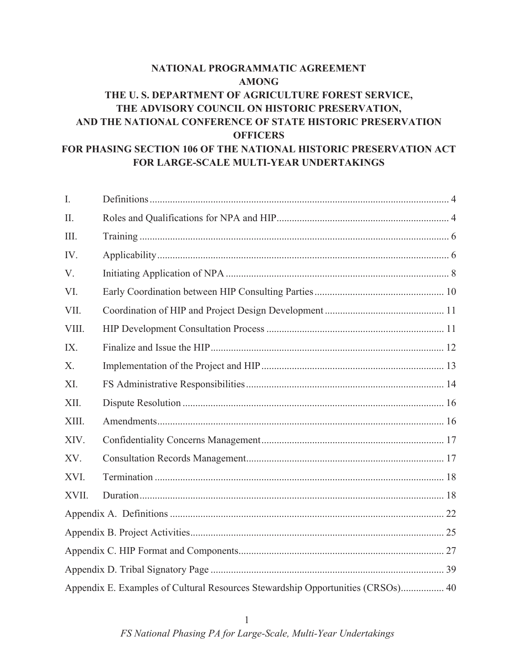# **NATIONAL PROGRAMMATIC AGREEMENT AMONG THE U. S. DEPARTMENT OF AGRICULTURE FOREST SERVICE, THE ADVISORY COUNCIL ON HISTORIC PRESERVATION, AND THE NATIONAL CONFERENCE OF STATE HISTORIC PRESERVATION OFFICERS FOR PHASING SECTION 106 OF THE NATIONAL HISTORIC PRESERVATION ACT FOR LARGE-SCALE MULTI-YEAR UNDERTAKINGS**

| I.    |                                                                                 |  |  |
|-------|---------------------------------------------------------------------------------|--|--|
| II.   |                                                                                 |  |  |
| III.  |                                                                                 |  |  |
| IV.   |                                                                                 |  |  |
| V.    |                                                                                 |  |  |
| VI.   |                                                                                 |  |  |
| VII.  |                                                                                 |  |  |
| VIII. |                                                                                 |  |  |
| IX.   |                                                                                 |  |  |
| X.    |                                                                                 |  |  |
| XI.   |                                                                                 |  |  |
| XII.  |                                                                                 |  |  |
| XIII. |                                                                                 |  |  |
| XIV.  |                                                                                 |  |  |
| XV.   |                                                                                 |  |  |
| XVI.  |                                                                                 |  |  |
| XVII. |                                                                                 |  |  |
|       |                                                                                 |  |  |
|       |                                                                                 |  |  |
|       |                                                                                 |  |  |
|       |                                                                                 |  |  |
|       | Appendix E. Examples of Cultural Resources Stewardship Opportunities (CRSOs) 40 |  |  |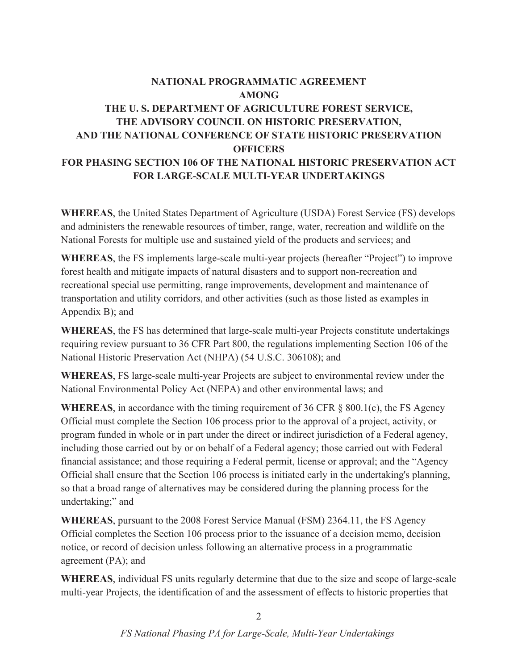# **NATIONAL PROGRAMMATIC AGREEMENT AMONG THE U. S. DEPARTMENT OF AGRICULTURE FOREST SERVICE, THE ADVISORY COUNCIL ON HISTORIC PRESERVATION, AND THE NATIONAL CONFERENCE OF STATE HISTORIC PRESERVATION OFFICERS FOR PHASING SECTION 106 OF THE NATIONAL HISTORIC PRESERVATION ACT FOR LARGE-SCALE MULTI-YEAR UNDERTAKINGS**

**WHEREAS**, the United States Department of Agriculture (USDA) Forest Service (FS) develops and administers the renewable resources of timber, range, water, recreation and wildlife on the National Forests for multiple use and sustained yield of the products and services; and

WHEREAS, the FS implements large-scale multi-year projects (hereafter "Project") to improve forest health and mitigate impacts of natural disasters and to support non-recreation and recreational special use permitting, range improvements, development and maintenance of transportation and utility corridors, and other activities (such as those listed as examples in Appendix B); and

**WHEREAS**, the FS has determined that large-scale multi-year Projects constitute undertakings requiring review pursuant to 36 CFR Part 800, the regulations implementing Section 106 of the National Historic Preservation Act (NHPA) (54 U.S.C. 306108); and

**WHEREAS**, FS large-scale multi-year Projects are subject to environmental review under the National Environmental Policy Act (NEPA) and other environmental laws; and

**WHEREAS**, in accordance with the timing requirement of 36 CFR § 800.1(c), the FS Agency Official must complete the Section 106 process prior to the approval of a project, activity, or program funded in whole or in part under the direct or indirect jurisdiction of a Federal agency, including those carried out by or on behalf of a Federal agency; those carried out with Federal financial assistance; and those requiring a Federal permit, license or approval; and the "Agency Official shall ensure that the Section 106 process is initiated early in the undertaking's planning, so that a broad range of alternatives may be considered during the planning process for the undertaking;" and

**WHEREAS**, pursuant to the 2008 Forest Service Manual (FSM) 2364.11, the FS Agency Official completes the Section 106 process prior to the issuance of a decision memo, decision notice, or record of decision unless following an alternative process in a programmatic agreement (PA); and

**WHEREAS**, individual FS units regularly determine that due to the size and scope of large-scale multi-year Projects, the identification of and the assessment of effects to historic properties that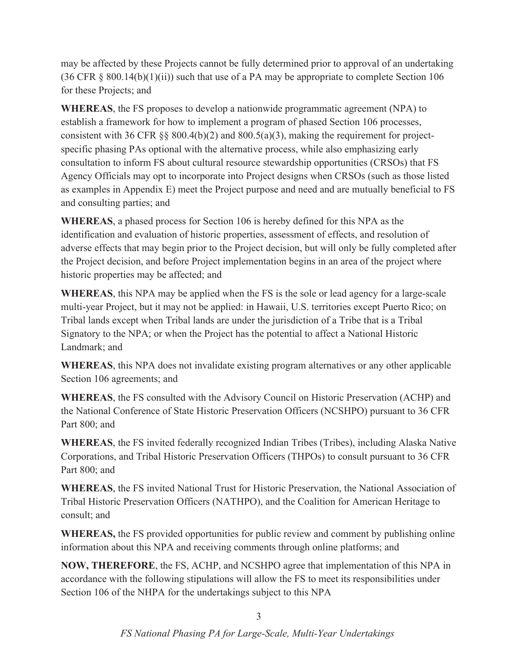may be affected by these Projects cannot be fully determined prior to approval of an undertaking  $(36 \text{ CFR } \S$  800.14(b)(1)(ii)) such that use of a PA may be appropriate to complete Section 106 for these Projects; and

**WHEREAS**, the FS proposes to develop a nationwide programmatic agreement (NPA) to establish a framework for how to implement a program of phased Section 106 processes, consistent with 36 CFR  $\S$ § 800.4(b)(2) and 800.5(a)(3), making the requirement for projectspecific phasing PAs optional with the alternative process, while also emphasizing early consultation to inform FS about cultural resource stewardship opportunities (CRSOs) that FS Agency Officials may opt to incorporate into Project designs when CRSOs (such as those listed as examples in Appendix E) meet the Project purpose and need and are mutually beneficial to FS and consulting parties; and

**WHEREAS**, a phased process for Section 106 is hereby defined for this NPA as the identification and evaluation of historic properties, assessment of effects, and resolution of adverse effects that may begin prior to the Project decision, but will only be fully completed after the Project decision, and before Project implementation begins in an area of the project where historic properties may be affected; and

**WHEREAS**, this NPA may be applied when the FS is the sole or lead agency for a large-scale multi-year Project, but it may not be applied: in Hawaii, U.S. territories except Puerto Rico; on Tribal lands except when Tribal lands are under the jurisdiction of a Tribe that is a Tribal Signatory to the NPA; or when the Project has the potential to affect a National Historic Landmark; and

**WHEREAS**, this NPA does not invalidate existing program alternatives or any other applicable Section 106 agreements; and

**WHEREAS**, the FS consulted with the Advisory Council on Historic Preservation (ACHP) and the National Conference of State Historic Preservation Officers (NCSHPO) pursuant to 36 CFR Part 800; and

**WHEREAS**, the FS invited federally recognized Indian Tribes (Tribes), including Alaska Native Corporations, and Tribal Historic Preservation Officers (THPOs) to consult pursuant to 36 CFR Part 800; and

**WHEREAS**, the FS invited National Trust for Historic Preservation, the National Association of Tribal Historic Preservation Officers (NATHPO), and the Coalition for American Heritage to consult; and

**WHEREAS,** the FS provided opportunities for public review and comment by publishing online information about this NPA and receiving comments through online platforms; and

**NOW, THEREFORE**, the FS, ACHP, and NCSHPO agree that implementation of this NPA in accordance with the following stipulations will allow the FS to meet its responsibilities under Section 106 of the NHPA for the undertakings subject to this NPA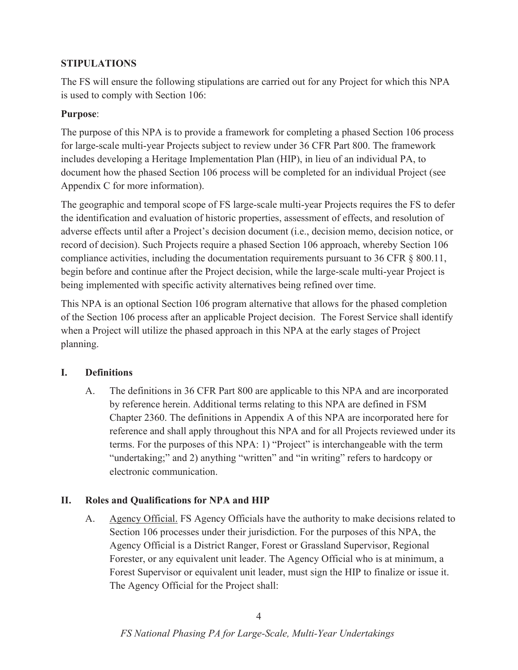# **STIPULATIONS**

The FS will ensure the following stipulations are carried out for any Project for which this NPA is used to comply with Section 106:

## **Purpose**:

The purpose of this NPA is to provide a framework for completing a phased Section 106 process for large-scale multi-year Projects subject to review under 36 CFR Part 800. The framework includes developing a Heritage Implementation Plan (HIP), in lieu of an individual PA, to document how the phased Section 106 process will be completed for an individual Project (see Appendix C for more information).

The geographic and temporal scope of FS large-scale multi-year Projects requires the FS to defer the identification and evaluation of historic properties, assessment of effects, and resolution of adverse effects until after a Project's decision document (i.e., decision memo, decision notice, or record of decision). Such Projects require a phased Section 106 approach, whereby Section 106 compliance activities, including the documentation requirements pursuant to 36 CFR § 800.11, begin before and continue after the Project decision, while the large-scale multi-year Project is being implemented with specific activity alternatives being refined over time.

This NPA is an optional Section 106 program alternative that allows for the phased completion of the Section 106 process after an applicable Project decision. The Forest Service shall identify when a Project will utilize the phased approach in this NPA at the early stages of Project planning.

#### **I. Definitions**

A. The definitions in 36 CFR Part 800 are applicable to this NPA and are incorporated by reference herein. Additional terms relating to this NPA are defined in FSM Chapter 2360. The definitions in Appendix A of this NPA are incorporated here for reference and shall apply throughout this NPA and for all Projects reviewed under its terms. For the purposes of this NPA: 1) "Project" is interchangeable with the term "undertaking;" and 2) anything "written" and "in writing" refers to hardcopy or electronic communication.

#### **II. Roles and Qualifications for NPA and HIP**

A. Agency Official. FS Agency Officials have the authority to make decisions related to Section 106 processes under their jurisdiction. For the purposes of this NPA, the Agency Official is a District Ranger, Forest or Grassland Supervisor, Regional Forester, or any equivalent unit leader. The Agency Official who is at minimum, a Forest Supervisor or equivalent unit leader, must sign the HIP to finalize or issue it. The Agency Official for the Project shall: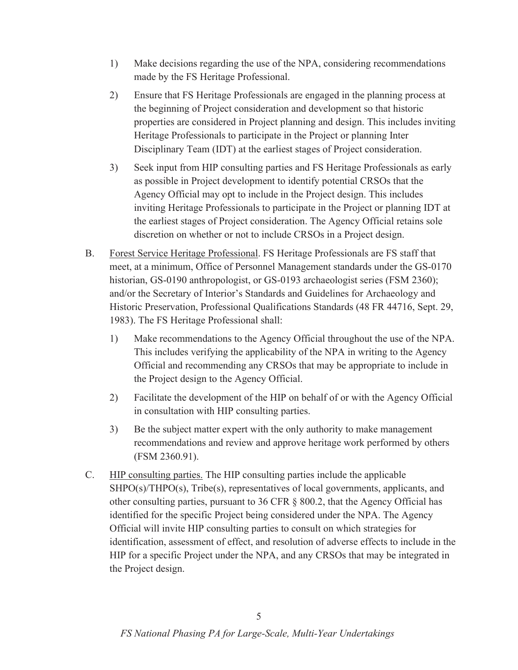- 1) Make decisions regarding the use of the NPA, considering recommendations made by the FS Heritage Professional.
- 2) Ensure that FS Heritage Professionals are engaged in the planning process at the beginning of Project consideration and development so that historic properties are considered in Project planning and design. This includes inviting Heritage Professionals to participate in the Project or planning Inter Disciplinary Team (IDT) at the earliest stages of Project consideration.
- 3) Seek input from HIP consulting parties and FS Heritage Professionals as early as possible in Project development to identify potential CRSOs that the Agency Official may opt to include in the Project design. This includes inviting Heritage Professionals to participate in the Project or planning IDT at the earliest stages of Project consideration. The Agency Official retains sole discretion on whether or not to include CRSOs in a Project design.
- B. Forest Service Heritage Professional. FS Heritage Professionals are FS staff that meet, at a minimum, Office of Personnel Management standards under the GS-0170 historian, GS-0190 anthropologist, or GS-0193 archaeologist series (FSM 2360); and/or the Secretary of Interior's Standards and Guidelines for Archaeology and Historic Preservation, Professional Qualifications Standards (48 FR 44716, Sept. 29, 1983). The FS Heritage Professional shall:
	- 1) Make recommendations to the Agency Official throughout the use of the NPA. This includes verifying the applicability of the NPA in writing to the Agency Official and recommending any CRSOs that may be appropriate to include in the Project design to the Agency Official.
	- 2) Facilitate the development of the HIP on behalf of or with the Agency Official in consultation with HIP consulting parties.
	- 3) Be the subject matter expert with the only authority to make management recommendations and review and approve heritage work performed by others (FSM 2360.91).
- C. HIP consulting parties. The HIP consulting parties include the applicable SHPO(s)/THPO(s), Tribe(s), representatives of local governments, applicants, and other consulting parties, pursuant to 36 CFR § 800.2, that the Agency Official has identified for the specific Project being considered under the NPA. The Agency Official will invite HIP consulting parties to consult on which strategies for identification, assessment of effect, and resolution of adverse effects to include in the HIP for a specific Project under the NPA, and any CRSOs that may be integrated in the Project design.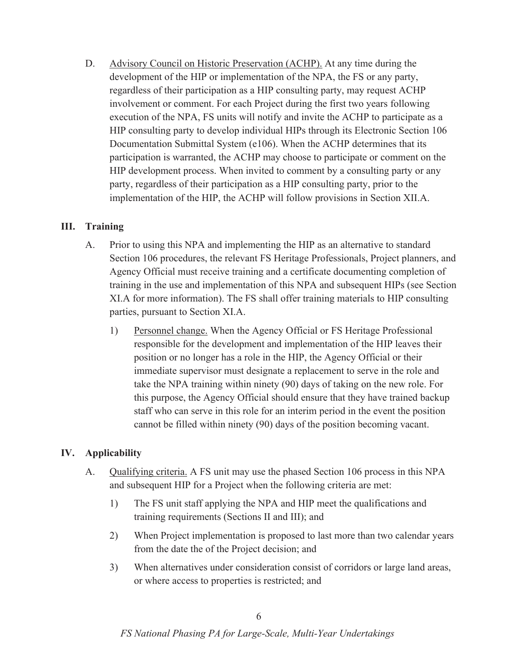D. Advisory Council on Historic Preservation (ACHP). At any time during the development of the HIP or implementation of the NPA, the FS or any party, regardless of their participation as a HIP consulting party, may request ACHP involvement or comment. For each Project during the first two years following execution of the NPA, FS units will notify and invite the ACHP to participate as a HIP consulting party to develop individual HIPs through its Electronic Section 106 Documentation Submittal System (e106). When the ACHP determines that its participation is warranted, the ACHP may choose to participate or comment on the HIP development process. When invited to comment by a consulting party or any party, regardless of their participation as a HIP consulting party, prior to the implementation of the HIP, the ACHP will follow provisions in Section XII.A.

#### **III. Training**

- A. Prior to using this NPA and implementing the HIP as an alternative to standard Section 106 procedures, the relevant FS Heritage Professionals, Project planners, and Agency Official must receive training and a certificate documenting completion of training in the use and implementation of this NPA and subsequent HIPs (see Section XI.A for more information). The FS shall offer training materials to HIP consulting parties, pursuant to Section XI.A.
	- 1) Personnel change. When the Agency Official or FS Heritage Professional responsible for the development and implementation of the HIP leaves their position or no longer has a role in the HIP, the Agency Official or their immediate supervisor must designate a replacement to serve in the role and take the NPA training within ninety (90) days of taking on the new role. For this purpose, the Agency Official should ensure that they have trained backup staff who can serve in this role for an interim period in the event the position cannot be filled within ninety (90) days of the position becoming vacant.

#### **IV. Applicability**

- A. Qualifying criteria. A FS unit may use the phased Section 106 process in this NPA and subsequent HIP for a Project when the following criteria are met:
	- 1) The FS unit staff applying the NPA and HIP meet the qualifications and training requirements (Sections II and III); and
	- 2) When Project implementation is proposed to last more than two calendar years from the date the of the Project decision; and
	- 3) When alternatives under consideration consist of corridors or large land areas, or where access to properties is restricted; and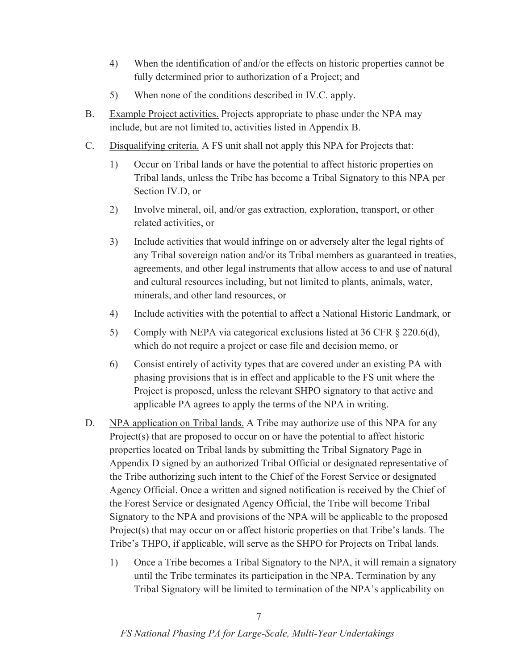- 4) When the identification of and/or the effects on historic properties cannot be fully determined prior to authorization of a Project; and
- 5) When none of the conditions described in IV.C. apply.
- B. Example Project activities. Projects appropriate to phase under the NPA may include, but are not limited to, activities listed in Appendix B.
- C. Disqualifying criteria. A FS unit shall not apply this NPA for Projects that:
	- 1) Occur on Tribal lands or have the potential to affect historic properties on Tribal lands, unless the Tribe has become a Tribal Signatory to this NPA per Section IV.D, or
	- 2) Involve mineral, oil, and/or gas extraction, exploration, transport, or other related activities, or
	- 3) Include activities that would infringe on or adversely alter the legal rights of any Tribal sovereign nation and/or its Tribal members as guaranteed in treaties, agreements, and other legal instruments that allow access to and use of natural and cultural resources including, but not limited to plants, animals, water, minerals, and other land resources, or
	- 4) Include activities with the potential to affect a National Historic Landmark, or
	- 5) Comply with NEPA via categorical exclusions listed at 36 CFR  $\S$  220.6(d), which do not require a project or case file and decision memo, or
	- 6) Consist entirely of activity types that are covered under an existing PA with phasing provisions that is in effect and applicable to the FS unit where the Project is proposed, unless the relevant SHPO signatory to that active and applicable PA agrees to apply the terms of the NPA in writing.
- D. NPA application on Tribal lands. A Tribe may authorize use of this NPA for any Project(s) that are proposed to occur on or have the potential to affect historic properties located on Tribal lands by submitting the Tribal Signatory Page in Appendix D signed by an authorized Tribal Official or designated representative of the Tribe authorizing such intent to the Chief of the Forest Service or designated Agency Official. Once a written and signed notification is received by the Chief of the Forest Service or designated Agency Official, the Tribe will become Tribal Signatory to the NPA and provisions of the NPA will be applicable to the proposed Project(s) that may occur on or affect historic properties on that Tribe's lands. The Tribe's THPO, if applicable, will serve as the SHPO for Projects on Tribal lands.
	- 1) Once a Tribe becomes a Tribal Signatory to the NPA, it will remain a signatory until the Tribe terminates its participation in the NPA. Termination by any Tribal Signatory will be limited to termination of the NPA's applicability on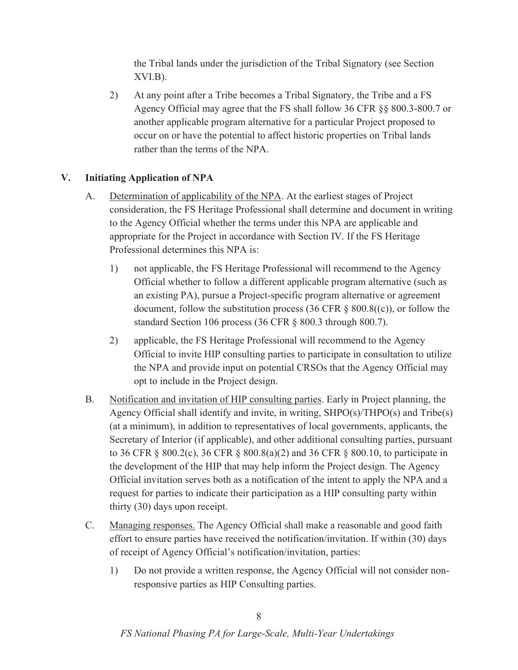the Tribal lands under the jurisdiction of the Tribal Signatory (see Section XVI.B).

2) At any point after a Tribe becomes a Tribal Signatory, the Tribe and a FS Agency Official may agree that the FS shall follow 36 CFR §§ 800.3-800.7 or another applicable program alternative for a particular Project proposed to occur on or have the potential to affect historic properties on Tribal lands rather than the terms of the NPA.

### **V. Initiating Application of NPA**

- A. Determination of applicability of the NPA. At the earliest stages of Project consideration, the FS Heritage Professional shall determine and document in writing to the Agency Official whether the terms under this NPA are applicable and appropriate for the Project in accordance with Section IV. If the FS Heritage Professional determines this NPA is:
	- 1) not applicable, the FS Heritage Professional will recommend to the Agency Official whether to follow a different applicable program alternative (such as an existing PA), pursue a Project-specific program alternative or agreement document, follow the substitution process (36 CFR  $\S$  800.8((c)), or follow the standard Section 106 process (36 CFR § 800.3 through 800.7).
	- 2) applicable, the FS Heritage Professional will recommend to the Agency Official to invite HIP consulting parties to participate in consultation to utilize the NPA and provide input on potential CRSOs that the Agency Official may opt to include in the Project design.
- B. Notification and invitation of HIP consulting parties. Early in Project planning, the Agency Official shall identify and invite, in writing, SHPO(s)/THPO(s) and Tribe(s) (at a minimum), in addition to representatives of local governments, applicants, the Secretary of Interior (if applicable), and other additional consulting parties, pursuant to 36 CFR § 800.2(c), 36 CFR § 800.8(a)(2) and 36 CFR § 800.10, to participate in the development of the HIP that may help inform the Project design. The Agency Official invitation serves both as a notification of the intent to apply the NPA and a request for parties to indicate their participation as a HIP consulting party within thirty (30) days upon receipt.
- C. Managing responses. The Agency Official shall make a reasonable and good faith effort to ensure parties have received the notification/invitation. If within (30) days of receipt of Agency Official's notification/invitation, parties:
	- 1) Do not provide a written response, the Agency Official will not consider nonresponsive parties as HIP Consulting parties.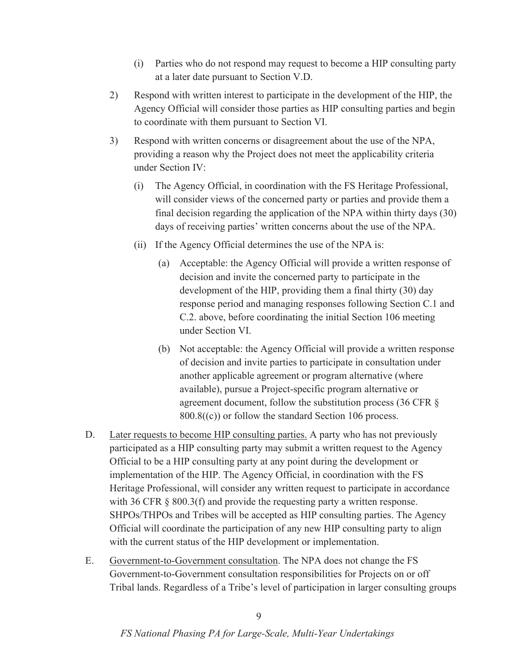- (i) Parties who do not respond may request to become a HIP consulting party at a later date pursuant to Section V.D.
- 2) Respond with written interest to participate in the development of the HIP, the Agency Official will consider those parties as HIP consulting parties and begin to coordinate with them pursuant to Section VI.
- 3) Respond with written concerns or disagreement about the use of the NPA, providing a reason why the Project does not meet the applicability criteria under Section IV:
	- (i) The Agency Official, in coordination with the FS Heritage Professional, will consider views of the concerned party or parties and provide them a final decision regarding the application of the NPA within thirty days (30) days of receiving parties' written concerns about the use of the NPA.
	- (ii) If the Agency Official determines the use of the NPA is:
		- (a) Acceptable: the Agency Official will provide a written response of decision and invite the concerned party to participate in the development of the HIP, providing them a final thirty (30) day response period and managing responses following Section C.1 and C.2. above, before coordinating the initial Section 106 meeting under Section VI.
		- (b) Not acceptable: the Agency Official will provide a written response of decision and invite parties to participate in consultation under another applicable agreement or program alternative (where available), pursue a Project-specific program alternative or agreement document, follow the substitution process (36 CFR §  $800.8(6)$  or follow the standard Section 106 process.
- D. Later requests to become HIP consulting parties. A party who has not previously participated as a HIP consulting party may submit a written request to the Agency Official to be a HIP consulting party at any point during the development or implementation of the HIP. The Agency Official, in coordination with the FS Heritage Professional, will consider any written request to participate in accordance with 36 CFR § 800.3(f) and provide the requesting party a written response. SHPOs/THPOs and Tribes will be accepted as HIP consulting parties. The Agency Official will coordinate the participation of any new HIP consulting party to align with the current status of the HIP development or implementation.
- E. Government-to-Government consultation. The NPA does not change the FS Government-to-Government consultation responsibilities for Projects on or off Tribal lands. Regardless of a Tribe's level of participation in larger consulting groups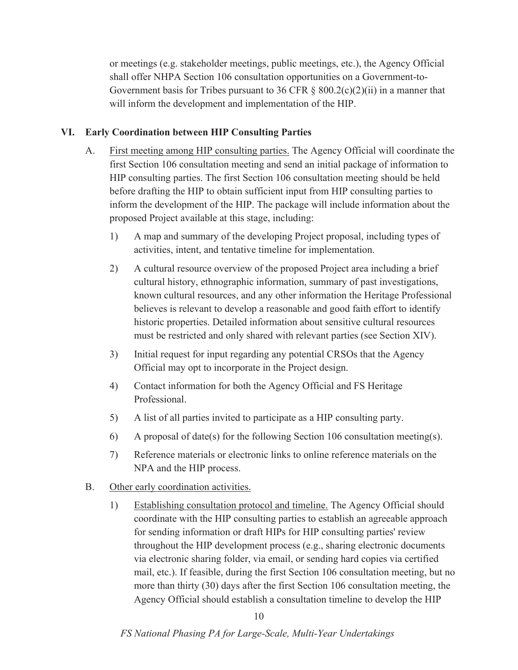or meetings (e.g. stakeholder meetings, public meetings, etc.), the Agency Official shall offer NHPA Section 106 consultation opportunities on a Government-to-Government basis for Tribes pursuant to 36 CFR  $\S$  800.2(c)(2)(ii) in a manner that will inform the development and implementation of the HIP.

### **VI. Early Coordination between HIP Consulting Parties**

- A. First meeting among HIP consulting parties. The Agency Official will coordinate the first Section 106 consultation meeting and send an initial package of information to HIP consulting parties. The first Section 106 consultation meeting should be held before drafting the HIP to obtain sufficient input from HIP consulting parties to inform the development of the HIP. The package will include information about the proposed Project available at this stage, including:
	- 1) A map and summary of the developing Project proposal, including types of activities, intent, and tentative timeline for implementation.
	- 2) A cultural resource overview of the proposed Project area including a brief cultural history, ethnographic information, summary of past investigations, known cultural resources, and any other information the Heritage Professional believes is relevant to develop a reasonable and good faith effort to identify historic properties. Detailed information about sensitive cultural resources must be restricted and only shared with relevant parties (see Section XIV).
	- 3) Initial request for input regarding any potential CRSOs that the Agency Official may opt to incorporate in the Project design.
	- 4) Contact information for both the Agency Official and FS Heritage Professional.
	- 5) A list of all parties invited to participate as a HIP consulting party.
	- 6) A proposal of date(s) for the following Section 106 consultation meeting(s).
	- 7) Reference materials or electronic links to online reference materials on the NPA and the HIP process.
- B. Other early coordination activities.
	- 1) Establishing consultation protocol and timeline. The Agency Official should coordinate with the HIP consulting parties to establish an agreeable approach for sending information or draft HIPs for HIP consulting parties' review throughout the HIP development process (e.g., sharing electronic documents via electronic sharing folder, via email, or sending hard copies via certified mail, etc.). If feasible, during the first Section 106 consultation meeting, but no more than thirty (30) days after the first Section 106 consultation meeting, the Agency Official should establish a consultation timeline to develop the HIP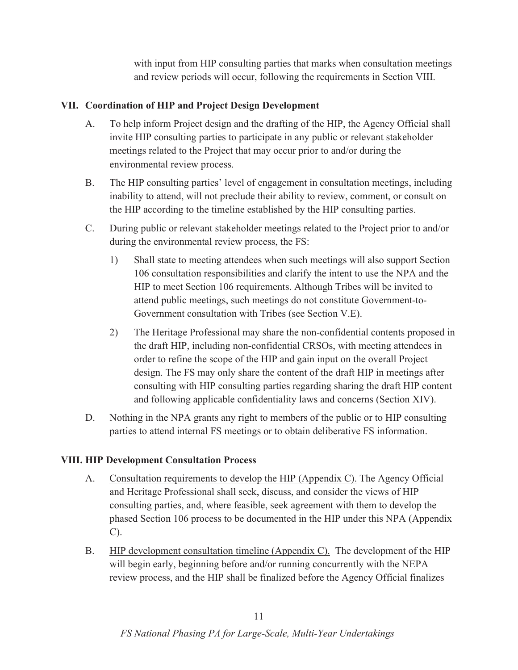with input from HIP consulting parties that marks when consultation meetings and review periods will occur, following the requirements in Section VIII.

### **VII. Coordination of HIP and Project Design Development**

- A. To help inform Project design and the drafting of the HIP, the Agency Official shall invite HIP consulting parties to participate in any public or relevant stakeholder meetings related to the Project that may occur prior to and/or during the environmental review process.
- B. The HIP consulting parties' level of engagement in consultation meetings, including inability to attend, will not preclude their ability to review, comment, or consult on the HIP according to the timeline established by the HIP consulting parties.
- C. During public or relevant stakeholder meetings related to the Project prior to and/or during the environmental review process, the FS:
	- 1) Shall state to meeting attendees when such meetings will also support Section 106 consultation responsibilities and clarify the intent to use the NPA and the HIP to meet Section 106 requirements. Although Tribes will be invited to attend public meetings, such meetings do not constitute Government-to-Government consultation with Tribes (see Section V.E).
	- 2) The Heritage Professional may share the non-confidential contents proposed in the draft HIP, including non-confidential CRSOs, with meeting attendees in order to refine the scope of the HIP and gain input on the overall Project design. The FS may only share the content of the draft HIP in meetings after consulting with HIP consulting parties regarding sharing the draft HIP content and following applicable confidentiality laws and concerns (Section XIV).
- D. Nothing in the NPA grants any right to members of the public or to HIP consulting parties to attend internal FS meetings or to obtain deliberative FS information.

#### **VIII. HIP Development Consultation Process**

- A. Consultation requirements to develop the HIP (Appendix C). The Agency Official and Heritage Professional shall seek, discuss, and consider the views of HIP consulting parties, and, where feasible, seek agreement with them to develop the phased Section 106 process to be documented in the HIP under this NPA (Appendix C).
- B. HIP development consultation timeline (Appendix C). The development of the HIP will begin early, beginning before and/or running concurrently with the NEPA review process, and the HIP shall be finalized before the Agency Official finalizes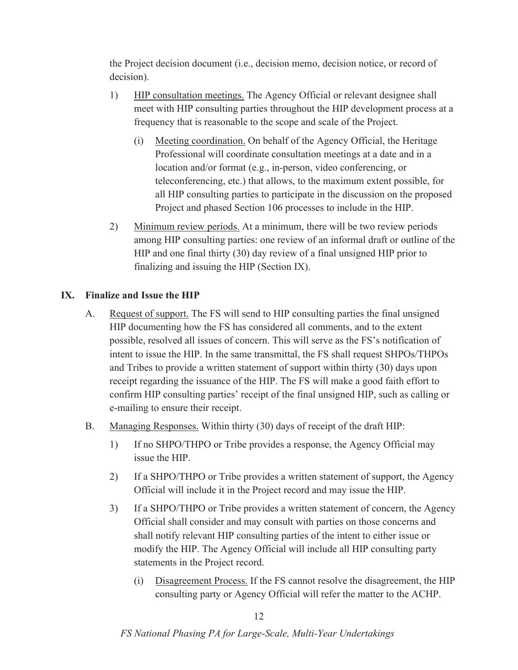the Project decision document (i.e., decision memo, decision notice, or record of decision).

- 1) HIP consultation meetings. The Agency Official or relevant designee shall meet with HIP consulting parties throughout the HIP development process at a frequency that is reasonable to the scope and scale of the Project.
	- (i) Meeting coordination. On behalf of the Agency Official, the Heritage Professional will coordinate consultation meetings at a date and in a location and/or format (e.g., in-person, video conferencing, or teleconferencing, etc.) that allows, to the maximum extent possible, for all HIP consulting parties to participate in the discussion on the proposed Project and phased Section 106 processes to include in the HIP.
- 2) Minimum review periods. At a minimum, there will be two review periods among HIP consulting parties: one review of an informal draft or outline of the HIP and one final thirty (30) day review of a final unsigned HIP prior to finalizing and issuing the HIP (Section IX).

#### **IX. Finalize and Issue the HIP**

- A. Request of support. The FS will send to HIP consulting parties the final unsigned HIP documenting how the FS has considered all comments, and to the extent possible, resolved all issues of concern. This will serve as the FS's notification of intent to issue the HIP. In the same transmittal, the FS shall request SHPOs/THPOs and Tribes to provide a written statement of support within thirty (30) days upon receipt regarding the issuance of the HIP. The FS will make a good faith effort to confirm HIP consulting parties' receipt of the final unsigned HIP, such as calling or e-mailing to ensure their receipt.
- B. Managing Responses. Within thirty (30) days of receipt of the draft HIP:
	- 1) If no SHPO/THPO or Tribe provides a response, the Agency Official may issue the HIP.
	- 2) If a SHPO/THPO or Tribe provides a written statement of support, the Agency Official will include it in the Project record and may issue the HIP.
	- 3) If a SHPO/THPO or Tribe provides a written statement of concern, the Agency Official shall consider and may consult with parties on those concerns and shall notify relevant HIP consulting parties of the intent to either issue or modify the HIP. The Agency Official will include all HIP consulting party statements in the Project record.
		- (i) Disagreement Process. If the FS cannot resolve the disagreement, the HIP consulting party or Agency Official will refer the matter to the ACHP.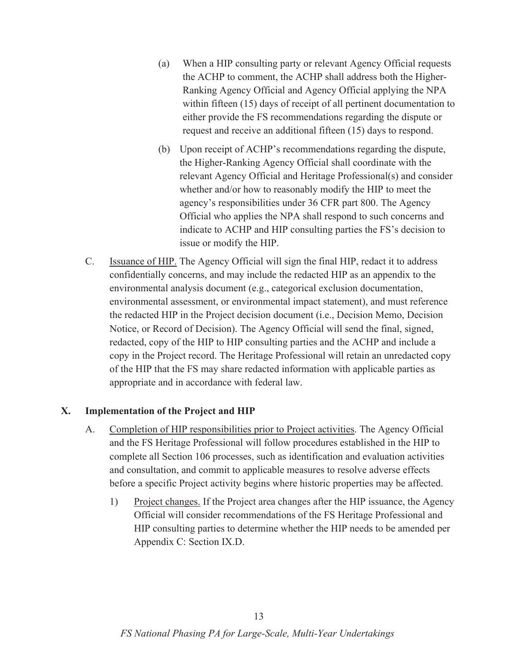- (a) When a HIP consulting party or relevant Agency Official requests the ACHP to comment, the ACHP shall address both the Higher-Ranking Agency Official and Agency Official applying the NPA within fifteen (15) days of receipt of all pertinent documentation to either provide the FS recommendations regarding the dispute or request and receive an additional fifteen (15) days to respond.
- (b) Upon receipt of ACHP's recommendations regarding the dispute, the Higher-Ranking Agency Official shall coordinate with the relevant Agency Official and Heritage Professional(s) and consider whether and/or how to reasonably modify the HIP to meet the agency's responsibilities under 36 CFR part 800. The Agency Official who applies the NPA shall respond to such concerns and indicate to ACHP and HIP consulting parties the FS's decision to issue or modify the HIP.
- C. Issuance of HIP. The Agency Official will sign the final HIP, redact it to address confidentially concerns, and may include the redacted HIP as an appendix to the environmental analysis document (e.g., categorical exclusion documentation, environmental assessment, or environmental impact statement), and must reference the redacted HIP in the Project decision document (i.e., Decision Memo, Decision Notice, or Record of Decision). The Agency Official will send the final, signed, redacted, copy of the HIP to HIP consulting parties and the ACHP and include a copy in the Project record. The Heritage Professional will retain an unredacted copy of the HIP that the FS may share redacted information with applicable parties as appropriate and in accordance with federal law.

#### **X. Implementation of the Project and HIP**

- A. Completion of HIP responsibilities prior to Project activities. The Agency Official and the FS Heritage Professional will follow procedures established in the HIP to complete all Section 106 processes, such as identification and evaluation activities and consultation, and commit to applicable measures to resolve adverse effects before a specific Project activity begins where historic properties may be affected.
	- 1) Project changes. If the Project area changes after the HIP issuance, the Agency Official will consider recommendations of the FS Heritage Professional and HIP consulting parties to determine whether the HIP needs to be amended per Appendix C: Section IX.D.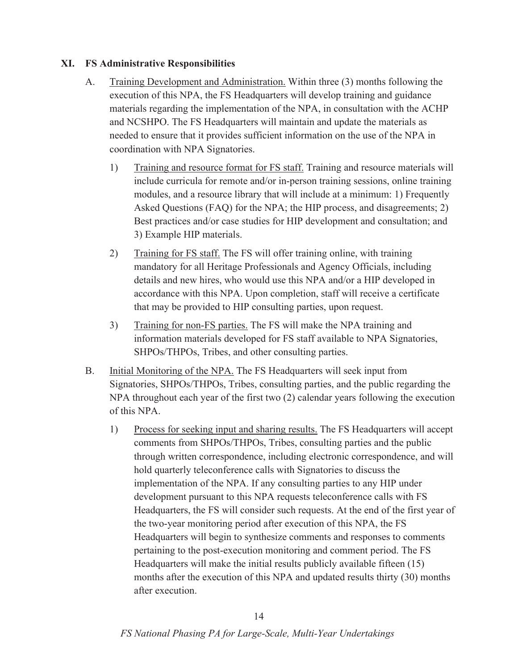#### **XI. FS Administrative Responsibilities**

- A. Training Development and Administration. Within three (3) months following the execution of this NPA, the FS Headquarters will develop training and guidance materials regarding the implementation of the NPA, in consultation with the ACHP and NCSHPO. The FS Headquarters will maintain and update the materials as needed to ensure that it provides sufficient information on the use of the NPA in coordination with NPA Signatories.
	- 1) Training and resource format for FS staff. Training and resource materials will include curricula for remote and/or in-person training sessions, online training modules, and a resource library that will include at a minimum: 1) Frequently Asked Questions (FAQ) for the NPA; the HIP process, and disagreements; 2) Best practices and/or case studies for HIP development and consultation; and 3) Example HIP materials.
	- 2) Training for FS staff. The FS will offer training online, with training mandatory for all Heritage Professionals and Agency Officials, including details and new hires, who would use this NPA and/or a HIP developed in accordance with this NPA. Upon completion, staff will receive a certificate that may be provided to HIP consulting parties, upon request.
	- 3) Training for non-FS parties. The FS will make the NPA training and information materials developed for FS staff available to NPA Signatories, SHPOs/THPOs, Tribes, and other consulting parties.
- B. Initial Monitoring of the NPA. The FS Headquarters will seek input from Signatories, SHPOs/THPOs, Tribes, consulting parties, and the public regarding the NPA throughout each year of the first two (2) calendar years following the execution of this NPA.
	- 1) Process for seeking input and sharing results. The FS Headquarters will accept comments from SHPOs/THPOs, Tribes, consulting parties and the public through written correspondence, including electronic correspondence, and will hold quarterly teleconference calls with Signatories to discuss the implementation of the NPA. If any consulting parties to any HIP under development pursuant to this NPA requests teleconference calls with FS Headquarters, the FS will consider such requests. At the end of the first year of the two-year monitoring period after execution of this NPA, the FS Headquarters will begin to synthesize comments and responses to comments pertaining to the post-execution monitoring and comment period. The FS Headquarters will make the initial results publicly available fifteen (15) months after the execution of this NPA and updated results thirty (30) months after execution.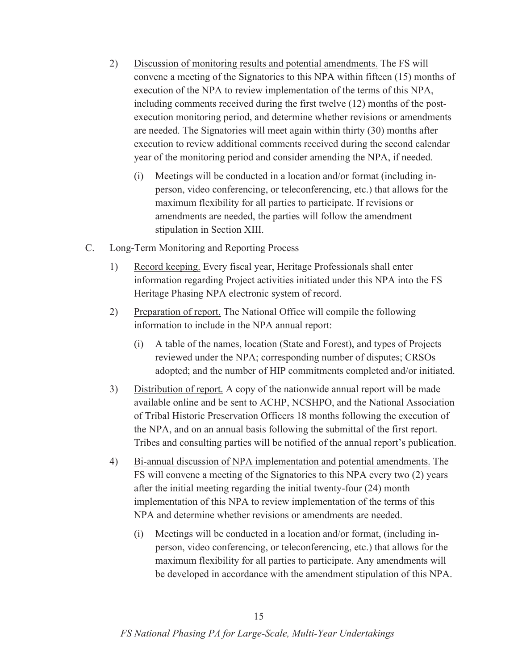- 2) Discussion of monitoring results and potential amendments. The FS will convene a meeting of the Signatories to this NPA within fifteen (15) months of execution of the NPA to review implementation of the terms of this NPA, including comments received during the first twelve (12) months of the postexecution monitoring period, and determine whether revisions or amendments are needed. The Signatories will meet again within thirty (30) months after execution to review additional comments received during the second calendar year of the monitoring period and consider amending the NPA, if needed.
	- (i) Meetings will be conducted in a location and/or format (including inperson, video conferencing, or teleconferencing, etc.) that allows for the maximum flexibility for all parties to participate. If revisions or amendments are needed, the parties will follow the amendment stipulation in Section XIII.
- C. Long-Term Monitoring and Reporting Process
	- 1) Record keeping. Every fiscal year, Heritage Professionals shall enter information regarding Project activities initiated under this NPA into the FS Heritage Phasing NPA electronic system of record.
	- 2) Preparation of report. The National Office will compile the following information to include in the NPA annual report:
		- (i) A table of the names, location (State and Forest), and types of Projects reviewed under the NPA; corresponding number of disputes; CRSOs adopted; and the number of HIP commitments completed and/or initiated.
	- 3) Distribution of report. A copy of the nationwide annual report will be made available online and be sent to ACHP, NCSHPO, and the National Association of Tribal Historic Preservation Officers 18 months following the execution of the NPA, and on an annual basis following the submittal of the first report. Tribes and consulting parties will be notified of the annual report's publication.
	- 4) Bi-annual discussion of NPA implementation and potential amendments. The FS will convene a meeting of the Signatories to this NPA every two (2) years after the initial meeting regarding the initial twenty-four (24) month implementation of this NPA to review implementation of the terms of this NPA and determine whether revisions or amendments are needed.
		- (i) Meetings will be conducted in a location and/or format, (including inperson, video conferencing, or teleconferencing, etc.) that allows for the maximum flexibility for all parties to participate. Any amendments will be developed in accordance with the amendment stipulation of this NPA.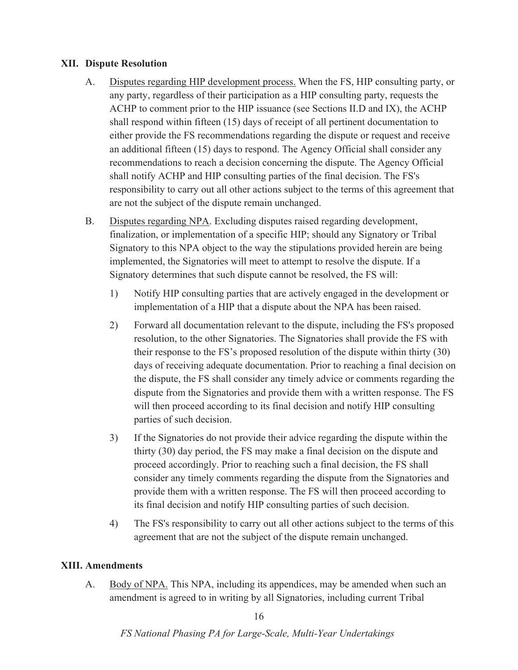#### **XII. Dispute Resolution**

- A. Disputes regarding HIP development process. When the FS, HIP consulting party, or any party, regardless of their participation as a HIP consulting party, requests the ACHP to comment prior to the HIP issuance (see Sections II.D and IX), the ACHP shall respond within fifteen (15) days of receipt of all pertinent documentation to either provide the FS recommendations regarding the dispute or request and receive an additional fifteen (15) days to respond. The Agency Official shall consider any recommendations to reach a decision concerning the dispute. The Agency Official shall notify ACHP and HIP consulting parties of the final decision. The FS's responsibility to carry out all other actions subject to the terms of this agreement that are not the subject of the dispute remain unchanged.
- B. Disputes regarding NPA. Excluding disputes raised regarding development, finalization, or implementation of a specific HIP; should any Signatory or Tribal Signatory to this NPA object to the way the stipulations provided herein are being implemented, the Signatories will meet to attempt to resolve the dispute. If a Signatory determines that such dispute cannot be resolved, the FS will:
	- 1) Notify HIP consulting parties that are actively engaged in the development or implementation of a HIP that a dispute about the NPA has been raised.
	- 2) Forward all documentation relevant to the dispute, including the FS's proposed resolution, to the other Signatories. The Signatories shall provide the FS with their response to the FS's proposed resolution of the dispute within thirty (30) days of receiving adequate documentation. Prior to reaching a final decision on the dispute, the FS shall consider any timely advice or comments regarding the dispute from the Signatories and provide them with a written response. The FS will then proceed according to its final decision and notify HIP consulting parties of such decision.
	- 3) If the Signatories do not provide their advice regarding the dispute within the thirty (30) day period, the FS may make a final decision on the dispute and proceed accordingly. Prior to reaching such a final decision, the FS shall consider any timely comments regarding the dispute from the Signatories and provide them with a written response. The FS will then proceed according to its final decision and notify HIP consulting parties of such decision.
	- 4) The FS's responsibility to carry out all other actions subject to the terms of this agreement that are not the subject of the dispute remain unchanged.

#### **XIII. Amendments**

A. Body of NPA. This NPA, including its appendices, may be amended when such an amendment is agreed to in writing by all Signatories, including current Tribal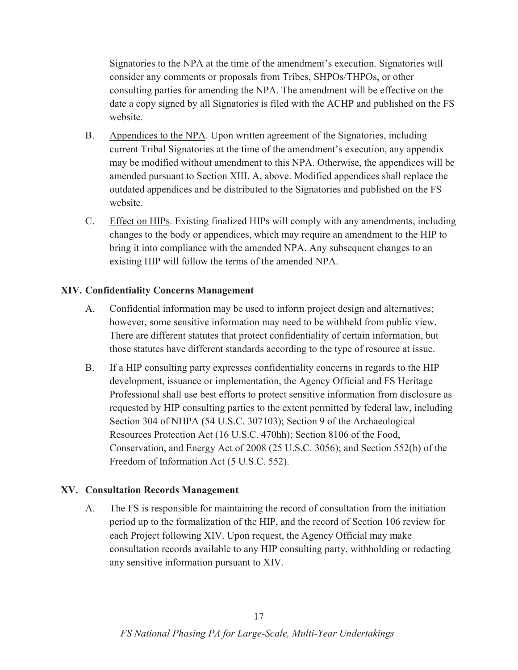Signatories to the NPA at the time of the amendment's execution. Signatories will consider any comments or proposals from Tribes, SHPOs/THPOs, or other consulting parties for amending the NPA. The amendment will be effective on the date a copy signed by all Signatories is filed with the ACHP and published on the FS website.

- B. Appendices to the NPA. Upon written agreement of the Signatories, including current Tribal Signatories at the time of the amendment's execution, any appendix may be modified without amendment to this NPA. Otherwise, the appendices will be amended pursuant to Section XIII. A, above. Modified appendices shall replace the outdated appendices and be distributed to the Signatories and published on the FS website.
- C. Effect on HIPs. Existing finalized HIPs will comply with any amendments, including changes to the body or appendices, which may require an amendment to the HIP to bring it into compliance with the amended NPA. Any subsequent changes to an existing HIP will follow the terms of the amended NPA.

#### **XIV. Confidentiality Concerns Management**

- A. Confidential information may be used to inform project design and alternatives; however, some sensitive information may need to be withheld from public view. There are different statutes that protect confidentiality of certain information, but those statutes have different standards according to the type of resource at issue.
- B. If a HIP consulting party expresses confidentiality concerns in regards to the HIP development, issuance or implementation, the Agency Official and FS Heritage Professional shall use best efforts to protect sensitive information from disclosure as requested by HIP consulting parties to the extent permitted by federal law, including Section 304 of NHPA (54 U.S.C. 307103); Section 9 of the Archaeological Resources Protection Act (16 U.S.C. 470hh); Section 8106 of the Food, Conservation, and Energy Act of 2008 (25 U.S.C. 3056); and Section 552(b) of the Freedom of Information Act (5 U.S.C. 552).

#### **XV. Consultation Records Management**

A. The FS is responsible for maintaining the record of consultation from the initiation period up to the formalization of the HIP, and the record of Section 106 review for each Project following XIV. Upon request, the Agency Official may make consultation records available to any HIP consulting party, withholding or redacting any sensitive information pursuant to XIV.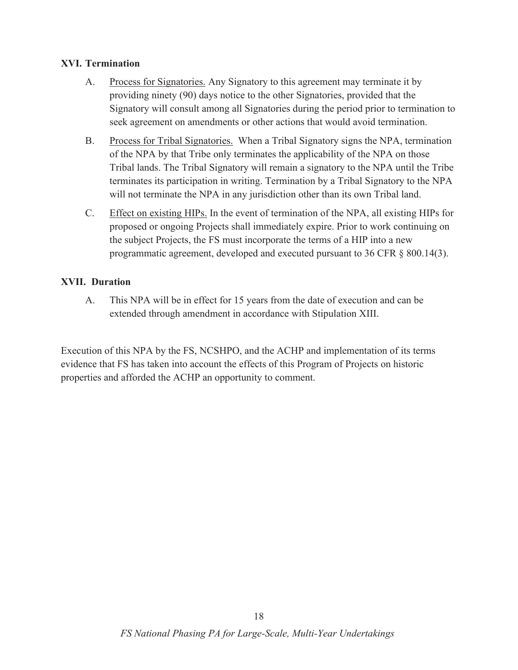### **XVI. Termination**

- A. Process for Signatories. Any Signatory to this agreement may terminate it by providing ninety (90) days notice to the other Signatories, provided that the Signatory will consult among all Signatories during the period prior to termination to seek agreement on amendments or other actions that would avoid termination.
- B. Process for Tribal Signatories. When a Tribal Signatory signs the NPA, termination of the NPA by that Tribe only terminates the applicability of the NPA on those Tribal lands. The Tribal Signatory will remain a signatory to the NPA until the Tribe terminates its participation in writing. Termination by a Tribal Signatory to the NPA will not terminate the NPA in any jurisdiction other than its own Tribal land.
- C. Effect on existing HIPs. In the event of termination of the NPA, all existing HIPs for proposed or ongoing Projects shall immediately expire. Prior to work continuing on the subject Projects, the FS must incorporate the terms of a HIP into a new programmatic agreement, developed and executed pursuant to 36 CFR § 800.14(3).

### **XVII. Duration**

A. This NPA will be in effect for 15 years from the date of execution and can be extended through amendment in accordance with Stipulation XIII.

Execution of this NPA by the FS, NCSHPO, and the ACHP and implementation of its terms evidence that FS has taken into account the effects of this Program of Projects on historic properties and afforded the ACHP an opportunity to comment.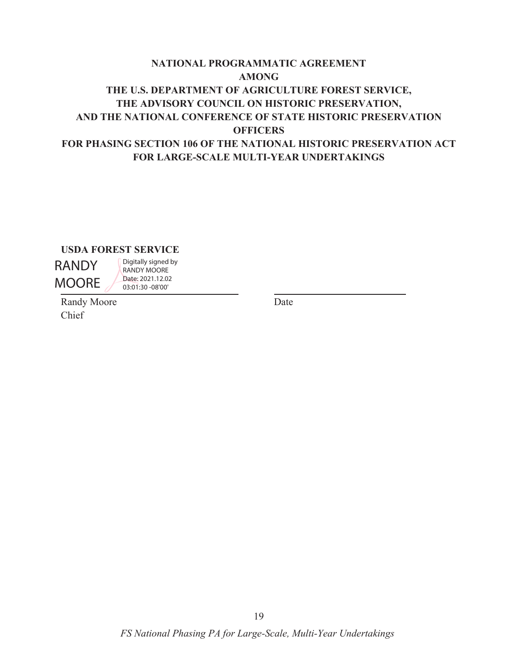# **NATIONAL PROGRAMMATIC AGREEMENT AMONG THE U.S. DEPARTMENT OF AGRICULTURE FOREST SERVICE, THE ADVISORY COUNCIL ON HISTORIC PRESERVATION, AND THE NATIONAL CONFERENCE OF STATE HISTORIC PRESERVATION OFFICERS FOR PHASING SECTION 106 OF THE NATIONAL HISTORIC PRESERVATION ACT FOR LARGE-SCALE MULTI-YEAR UNDERTAKINGS**

**USDA FOREST SERVICE** 

RANDY MOORE

RANDY MOORE Date: 2021.12.02 03:01:30 -08'00'

Digitally signed by

Randy Moore Date Chief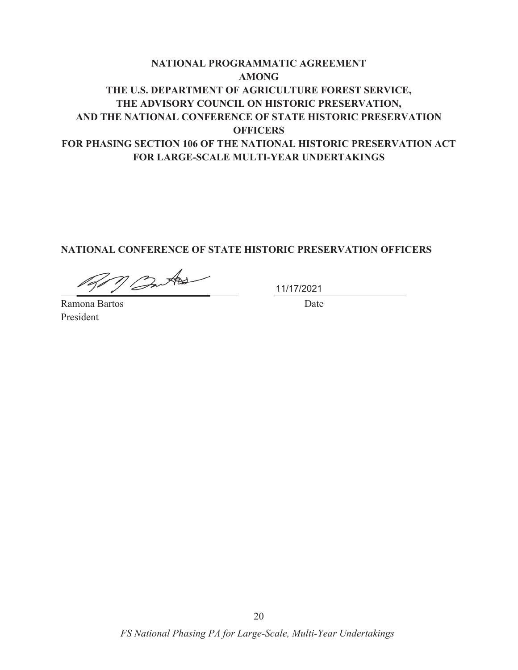# **NATIONAL PROGRAMMATIC AGREEMENT AMONG THE U.S. DEPARTMENT OF AGRICULTURE FOREST SERVICE, THE ADVISORY COUNCIL ON HISTORIC PRESERVATION, AND THE NATIONAL CONFERENCE OF STATE HISTORIC PRESERVATION OFFICERS FOR PHASING SECTION 106 OF THE NATIONAL HISTORIC PRESERVATION ACT FOR LARGE-SCALE MULTI-YEAR UNDERTAKINGS**

### **NATIONAL CONFERENCE OF STATE HISTORIC PRESERVATION OFFICERS**

M Butos

11/17/2021

Ramona Bartos **Date** President

20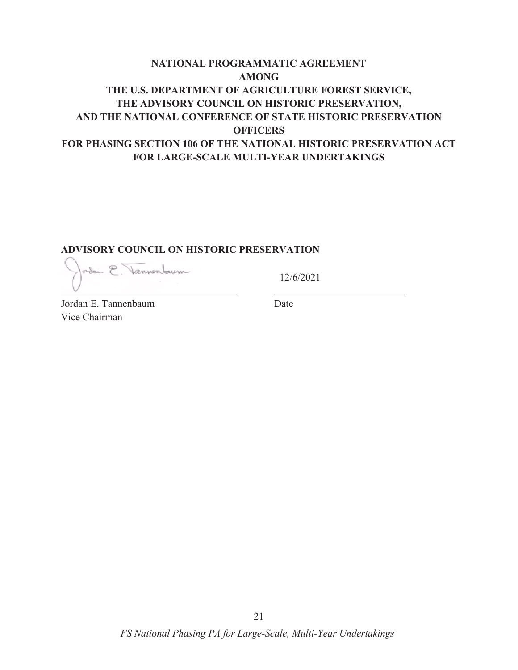# **NATIONAL PROGRAMMATIC AGREEMENT AMONG THE U.S. DEPARTMENT OF AGRICULTURE FOREST SERVICE, THE ADVISORY COUNCIL ON HISTORIC PRESERVATION, AND THE NATIONAL CONFERENCE OF STATE HISTORIC PRESERVATION OFFICERS FOR PHASING SECTION 106 OF THE NATIONAL HISTORIC PRESERVATION ACT FOR LARGE-SCALE MULTI-YEAR UNDERTAKINGS**

#### **ADVISORY COUNCIL ON HISTORIC PRESERVATION**

orden E. Vannenburn

12/6/2021

Jordan E. Tannenbaum Date Vice Chairman

21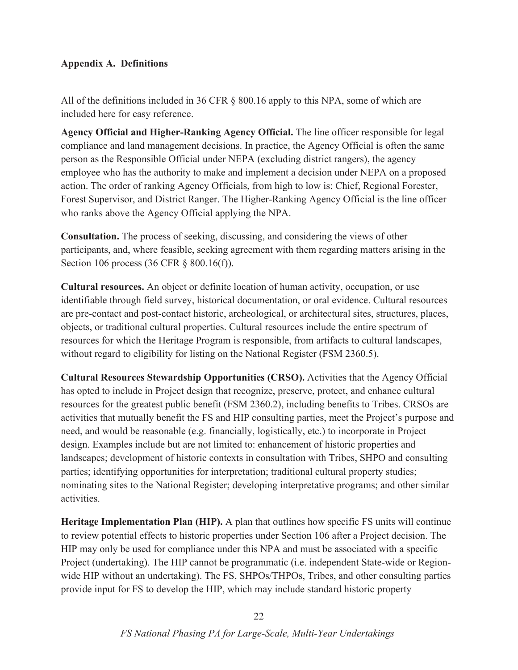### **Appendix A. Definitions**

All of the definitions included in 36 CFR § 800.16 apply to this NPA, some of which are included here for easy reference.

**Agency Official and Higher-Ranking Agency Official.** The line officer responsible for legal compliance and land management decisions. In practice, the Agency Official is often the same person as the Responsible Official under NEPA (excluding district rangers), the agency employee who has the authority to make and implement a decision under NEPA on a proposed action. The order of ranking Agency Officials, from high to low is: Chief, Regional Forester, Forest Supervisor, and District Ranger. The Higher-Ranking Agency Official is the line officer who ranks above the Agency Official applying the NPA.

**Consultation.** The process of seeking, discussing, and considering the views of other participants, and, where feasible, seeking agreement with them regarding matters arising in the Section 106 process (36 CFR § 800.16(f)).

**Cultural resources.** An object or definite location of human activity, occupation, or use identifiable through field survey, historical documentation, or oral evidence. Cultural resources are pre-contact and post-contact historic, archeological, or architectural sites, structures, places, objects, or traditional cultural properties. Cultural resources include the entire spectrum of resources for which the Heritage Program is responsible, from artifacts to cultural landscapes, without regard to eligibility for listing on the National Register (FSM 2360.5).

**Cultural Resources Stewardship Opportunities (CRSO).** Activities that the Agency Official has opted to include in Project design that recognize, preserve, protect, and enhance cultural resources for the greatest public benefit (FSM 2360.2), including benefits to Tribes. CRSOs are activities that mutually benefit the FS and HIP consulting parties, meet the Project's purpose and need, and would be reasonable (e.g. financially, logistically, etc.) to incorporate in Project design. Examples include but are not limited to: enhancement of historic properties and landscapes; development of historic contexts in consultation with Tribes, SHPO and consulting parties; identifying opportunities for interpretation; traditional cultural property studies; nominating sites to the National Register; developing interpretative programs; and other similar activities.

**Heritage Implementation Plan (HIP).** A plan that outlines how specific FS units will continue to review potential effects to historic properties under Section 106 after a Project decision. The HIP may only be used for compliance under this NPA and must be associated with a specific Project (undertaking). The HIP cannot be programmatic (i.e. independent State-wide or Regionwide HIP without an undertaking). The FS, SHPOs/THPOs, Tribes, and other consulting parties provide input for FS to develop the HIP, which may include standard historic property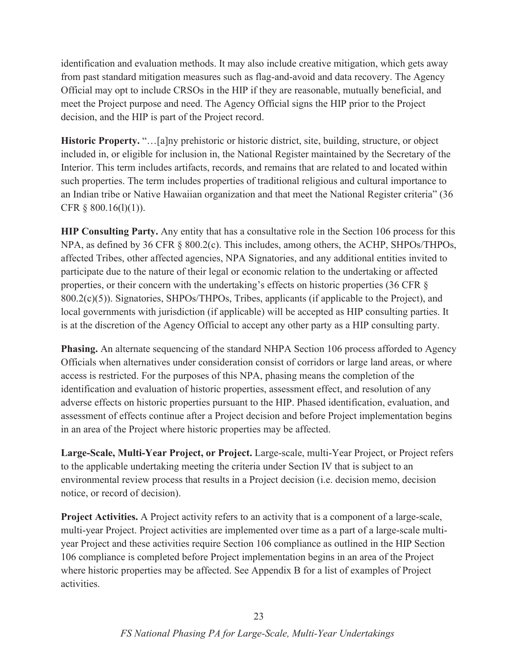identification and evaluation methods. It may also include creative mitigation, which gets away from past standard mitigation measures such as flag-and-avoid and data recovery. The Agency Official may opt to include CRSOs in the HIP if they are reasonable, mutually beneficial, and meet the Project purpose and need. The Agency Official signs the HIP prior to the Project decision, and the HIP is part of the Project record.

**Historic Property.** "…[a]ny prehistoric or historic district, site, building, structure, or object included in, or eligible for inclusion in, the National Register maintained by the Secretary of the Interior. This term includes artifacts, records, and remains that are related to and located within such properties. The term includes properties of traditional religious and cultural importance to an Indian tribe or Native Hawaiian organization and that meet the National Register criteria" (36 CFR  $\S$  800.16(1)(1)).

**HIP Consulting Party.** Any entity that has a consultative role in the Section 106 process for this NPA, as defined by 36 CFR § 800.2(c). This includes, among others, the ACHP, SHPOs/THPOs, affected Tribes, other affected agencies, NPA Signatories, and any additional entities invited to participate due to the nature of their legal or economic relation to the undertaking or affected properties, or their concern with the undertaking's effects on historic properties (36 CFR § 800.2(c)(5)). Signatories, SHPOs/THPOs, Tribes, applicants (if applicable to the Project), and local governments with jurisdiction (if applicable) will be accepted as HIP consulting parties. It is at the discretion of the Agency Official to accept any other party as a HIP consulting party.

**Phasing.** An alternate sequencing of the standard NHPA Section 106 process afforded to Agency Officials when alternatives under consideration consist of corridors or large land areas, or where access is restricted. For the purposes of this NPA, phasing means the completion of the identification and evaluation of historic properties, assessment effect, and resolution of any adverse effects on historic properties pursuant to the HIP. Phased identification, evaluation, and assessment of effects continue after a Project decision and before Project implementation begins in an area of the Project where historic properties may be affected.

**Large-Scale, Multi-Year Project, or Project.** Large-scale, multi-Year Project, or Project refers to the applicable undertaking meeting the criteria under Section IV that is subject to an environmental review process that results in a Project decision (i.e. decision memo, decision notice, or record of decision).

**Project Activities.** A Project activity refers to an activity that is a component of a large-scale, multi-year Project. Project activities are implemented over time as a part of a large-scale multiyear Project and these activities require Section 106 compliance as outlined in the HIP Section 106 compliance is completed before Project implementation begins in an area of the Project where historic properties may be affected. See Appendix B for a list of examples of Project activities.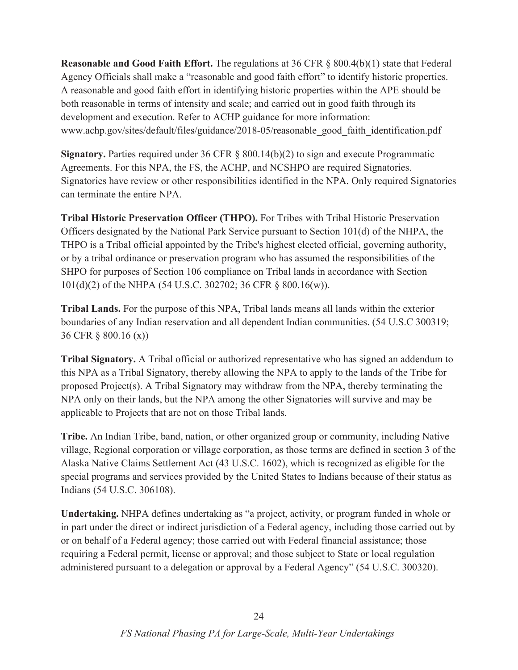**Reasonable and Good Faith Effort.** The regulations at 36 CFR § 800.4(b)(1) state that Federal Agency Officials shall make a "reasonable and good faith effort" to identify historic properties. A reasonable and good faith effort in identifying historic properties within the APE should be both reasonable in terms of intensity and scale; and carried out in good faith through its development and execution. Refer to ACHP guidance for more information: www.achp.gov/sites/default/files/guidance/2018-05/reasonable\_good\_faith\_identification.pdf

**Signatory.** Parties required under 36 CFR § 800.14(b)(2) to sign and execute Programmatic Agreements. For this NPA, the FS, the ACHP, and NCSHPO are required Signatories. Signatories have review or other responsibilities identified in the NPA. Only required Signatories can terminate the entire NPA.

**Tribal Historic Preservation Officer (THPO).** For Tribes with Tribal Historic Preservation Officers designated by the National Park Service pursuant to Section 101(d) of the NHPA, the THPO is a Tribal official appointed by the Tribe's highest elected official, governing authority, or by a tribal ordinance or preservation program who has assumed the responsibilities of the SHPO for purposes of Section 106 compliance on Tribal lands in accordance with Section 101(d)(2) of the NHPA (54 U.S.C. 302702; 36 CFR § 800.16(w)).

**Tribal Lands.** For the purpose of this NPA, Tribal lands means all lands within the exterior boundaries of any Indian reservation and all dependent Indian communities. (54 U.S.C 300319; 36 CFR § 800.16 (x))

**Tribal Signatory.** A Tribal official or authorized representative who has signed an addendum to this NPA as a Tribal Signatory, thereby allowing the NPA to apply to the lands of the Tribe for proposed Project(s). A Tribal Signatory may withdraw from the NPA, thereby terminating the NPA only on their lands, but the NPA among the other Signatories will survive and may be applicable to Projects that are not on those Tribal lands.

**Tribe.** An Indian Tribe, band, nation, or other organized group or community, including Native village, Regional corporation or village corporation, as those terms are defined in section 3 of the Alaska Native Claims Settlement Act (43 U.S.C. 1602), which is recognized as eligible for the special programs and services provided by the United States to Indians because of their status as Indians (54 U.S.C. 306108).

**Undertaking.** NHPA defines undertaking as "a project, activity, or program funded in whole or in part under the direct or indirect jurisdiction of a Federal agency, including those carried out by or on behalf of a Federal agency; those carried out with Federal financial assistance; those requiring a Federal permit, license or approval; and those subject to State or local regulation administered pursuant to a delegation or approval by a Federal Agency" (54 U.S.C. 300320).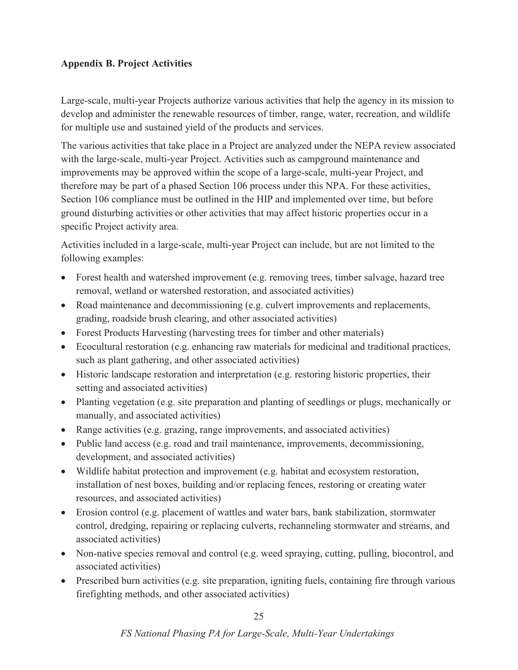## **Appendix B. Project Activities**

Large-scale, multi-year Projects authorize various activities that help the agency in its mission to develop and administer the renewable resources of timber, range, water, recreation, and wildlife for multiple use and sustained yield of the products and services.

The various activities that take place in a Project are analyzed under the NEPA review associated with the large-scale, multi-year Project. Activities such as campground maintenance and improvements may be approved within the scope of a large-scale, multi-year Project, and therefore may be part of a phased Section 106 process under this NPA. For these activities, Section 106 compliance must be outlined in the HIP and implemented over time, but before ground disturbing activities or other activities that may affect historic properties occur in a specific Project activity area.

Activities included in a large-scale, multi-year Project can include, but are not limited to the following examples:

- Forest health and watershed improvement (e.g. removing trees, timber salvage, hazard tree removal, wetland or watershed restoration, and associated activities)
- Road maintenance and decommissioning (e.g. culvert improvements and replacements, grading, roadside brush clearing, and other associated activities)
- Forest Products Harvesting (harvesting trees for timber and other materials)
- $\bullet$  Ecocultural restoration (e.g. enhancing raw materials for medicinal and traditional practices, such as plant gathering, and other associated activities)
- Historic landscape restoration and interpretation (e.g. restoring historic properties, their setting and associated activities)
- Planting vegetation (e.g. site preparation and planting of seedlings or plugs, mechanically or manually, and associated activities)
- Range activities (e.g. grazing, range improvements, and associated activities)
- Public land access (e.g. road and trail maintenance, improvements, decommissioning, development, and associated activities)
- $\bullet$  Wildlife habitat protection and improvement (e.g. habitat and ecosystem restoration, installation of nest boxes, building and/or replacing fences, restoring or creating water resources, and associated activities)
- Erosion control (e.g. placement of wattles and water bars, bank stabilization, stormwater control, dredging, repairing or replacing culverts, rechanneling stormwater and streams, and associated activities)
- Non-native species removal and control (e.g. weed spraying, cutting, pulling, biocontrol, and associated activities)
- Prescribed burn activities (e.g. site preparation, igniting fuels, containing fire through various firefighting methods, and other associated activities)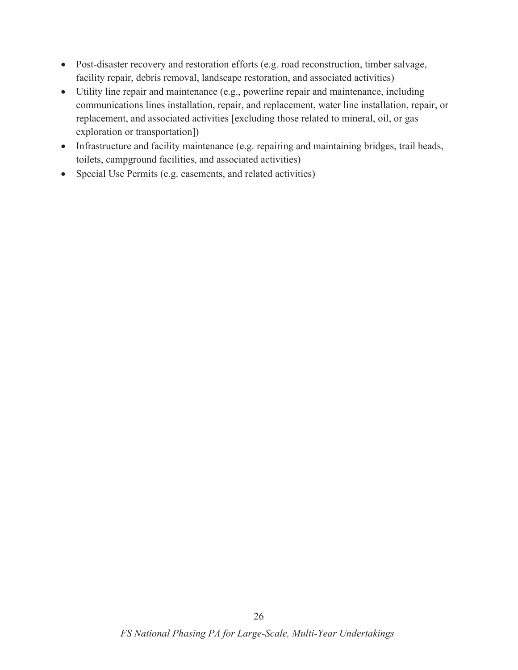- Post-disaster recovery and restoration efforts (e.g. road reconstruction, timber salvage, facility repair, debris removal, landscape restoration, and associated activities)
- Utility line repair and maintenance (e.g., powerline repair and maintenance, including communications lines installation, repair, and replacement, water line installation, repair, or replacement, and associated activities [excluding those related to mineral, oil, or gas exploration or transportation])
- Infrastructure and facility maintenance (e.g. repairing and maintaining bridges, trail heads, toilets, campground facilities, and associated activities)
- Special Use Permits (e.g. easements, and related activities)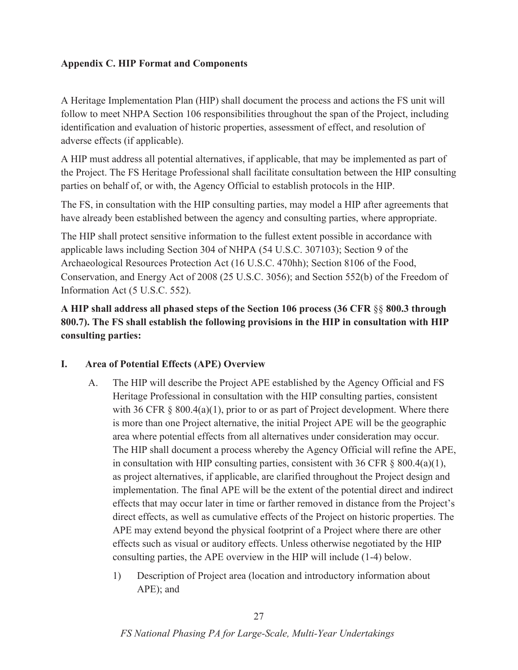### **Appendix C. HIP Format and Components**

A Heritage Implementation Plan (HIP) shall document the process and actions the FS unit will follow to meet NHPA Section 106 responsibilities throughout the span of the Project, including identification and evaluation of historic properties, assessment of effect, and resolution of adverse effects (if applicable).

A HIP must address all potential alternatives, if applicable, that may be implemented as part of the Project. The FS Heritage Professional shall facilitate consultation between the HIP consulting parties on behalf of, or with, the Agency Official to establish protocols in the HIP.

The FS, in consultation with the HIP consulting parties, may model a HIP after agreements that have already been established between the agency and consulting parties, where appropriate.

The HIP shall protect sensitive information to the fullest extent possible in accordance with applicable laws including Section 304 of NHPA (54 U.S.C. 307103); Section 9 of the Archaeological Resources Protection Act (16 U.S.C. 470hh); Section 8106 of the Food, Conservation, and Energy Act of 2008 (25 U.S.C. 3056); and Section 552(b) of the Freedom of Information Act (5 U.S.C. 552).

**A HIP shall address all phased steps of the Section 106 process (36 CFR** §§ **800.3 through 800.7). The FS shall establish the following provisions in the HIP in consultation with HIP consulting parties:** 

#### **I. Area of Potential Effects (APE) Overview**

- A. The HIP will describe the Project APE established by the Agency Official and FS Heritage Professional in consultation with the HIP consulting parties, consistent with 36 CFR  $\S$  800.4(a)(1), prior to or as part of Project development. Where there is more than one Project alternative, the initial Project APE will be the geographic area where potential effects from all alternatives under consideration may occur. The HIP shall document a process whereby the Agency Official will refine the APE, in consultation with HIP consulting parties, consistent with 36 CFR  $\S$  800.4(a)(1), as project alternatives, if applicable, are clarified throughout the Project design and implementation. The final APE will be the extent of the potential direct and indirect effects that may occur later in time or farther removed in distance from the Project's direct effects, as well as cumulative effects of the Project on historic properties. The APE may extend beyond the physical footprint of a Project where there are other effects such as visual or auditory effects. Unless otherwise negotiated by the HIP consulting parties, the APE overview in the HIP will include (1-4) below.
	- 1) Description of Project area (location and introductory information about APE); and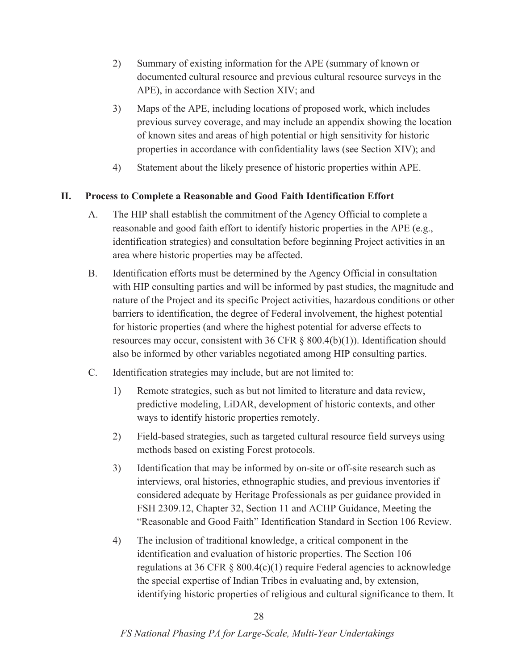- 2) Summary of existing information for the APE (summary of known or documented cultural resource and previous cultural resource surveys in the APE), in accordance with Section XIV; and
- 3) Maps of the APE, including locations of proposed work, which includes previous survey coverage, and may include an appendix showing the location of known sites and areas of high potential or high sensitivity for historic properties in accordance with confidentiality laws (see Section XIV); and
- 4) Statement about the likely presence of historic properties within APE.

### **II. Process to Complete a Reasonable and Good Faith Identification Effort**

- A. The HIP shall establish the commitment of the Agency Official to complete a reasonable and good faith effort to identify historic properties in the APE (e.g., identification strategies) and consultation before beginning Project activities in an area where historic properties may be affected.
- B. Identification efforts must be determined by the Agency Official in consultation with HIP consulting parties and will be informed by past studies, the magnitude and nature of the Project and its specific Project activities, hazardous conditions or other barriers to identification, the degree of Federal involvement, the highest potential for historic properties (and where the highest potential for adverse effects to resources may occur, consistent with 36 CFR  $\S$  800.4(b)(1)). Identification should also be informed by other variables negotiated among HIP consulting parties.
- C. Identification strategies may include, but are not limited to:
	- 1) Remote strategies, such as but not limited to literature and data review, predictive modeling, LiDAR, development of historic contexts, and other ways to identify historic properties remotely.
	- 2) Field-based strategies, such as targeted cultural resource field surveys using methods based on existing Forest protocols.
	- 3) Identification that may be informed by on-site or off-site research such as interviews, oral histories, ethnographic studies, and previous inventories if considered adequate by Heritage Professionals as per guidance provided in FSH 2309.12, Chapter 32, Section 11 and ACHP Guidance, Meeting the "Reasonable and Good Faith" Identification Standard in Section 106 Review.
	- 4) The inclusion of traditional knowledge, a critical component in the identification and evaluation of historic properties. The Section 106 regulations at 36 CFR  $\S$  800.4(c)(1) require Federal agencies to acknowledge the special expertise of Indian Tribes in evaluating and, by extension, identifying historic properties of religious and cultural significance to them. It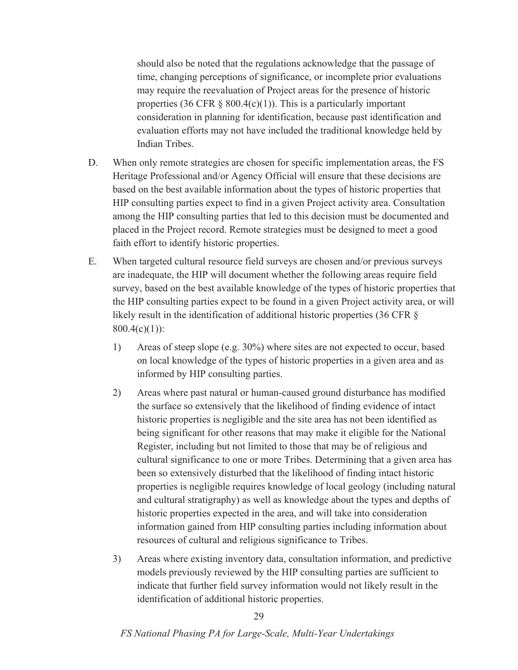should also be noted that the regulations acknowledge that the passage of time, changing perceptions of significance, or incomplete prior evaluations may require the reevaluation of Project areas for the presence of historic properties (36 CFR  $\S$  800.4(c)(1)). This is a particularly important consideration in planning for identification, because past identification and evaluation efforts may not have included the traditional knowledge held by Indian Tribes.

- D. When only remote strategies are chosen for specific implementation areas, the FS Heritage Professional and/or Agency Official will ensure that these decisions are based on the best available information about the types of historic properties that HIP consulting parties expect to find in a given Project activity area. Consultation among the HIP consulting parties that led to this decision must be documented and placed in the Project record. Remote strategies must be designed to meet a good faith effort to identify historic properties.
- E. When targeted cultural resource field surveys are chosen and/or previous surveys are inadequate, the HIP will document whether the following areas require field survey, based on the best available knowledge of the types of historic properties that the HIP consulting parties expect to be found in a given Project activity area, or will likely result in the identification of additional historic properties (36 CFR §  $800.4(c)(1)$ :
	- 1) Areas of steep slope (e.g. 30%) where sites are not expected to occur, based on local knowledge of the types of historic properties in a given area and as informed by HIP consulting parties.
	- 2) Areas where past natural or human-caused ground disturbance has modified the surface so extensively that the likelihood of finding evidence of intact historic properties is negligible and the site area has not been identified as being significant for other reasons that may make it eligible for the National Register, including but not limited to those that may be of religious and cultural significance to one or more Tribes. Determining that a given area has been so extensively disturbed that the likelihood of finding intact historic properties is negligible requires knowledge of local geology (including natural and cultural stratigraphy) as well as knowledge about the types and depths of historic properties expected in the area, and will take into consideration information gained from HIP consulting parties including information about resources of cultural and religious significance to Tribes.
	- 3) Areas where existing inventory data, consultation information, and predictive models previously reviewed by the HIP consulting parties are sufficient to indicate that further field survey information would not likely result in the identification of additional historic properties.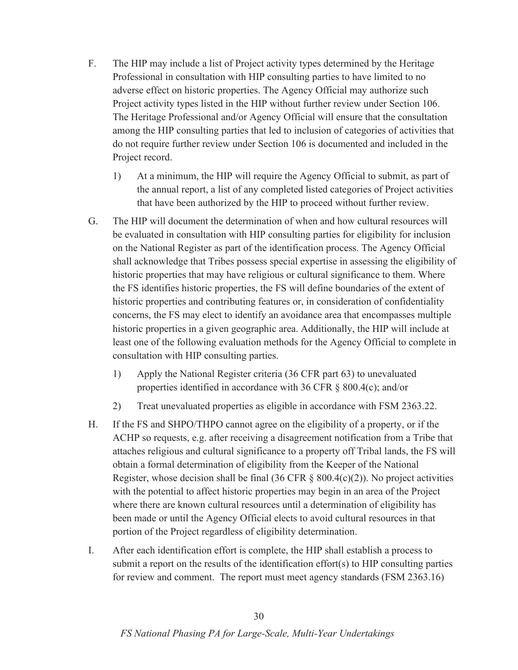- F. The HIP may include a list of Project activity types determined by the Heritage Professional in consultation with HIP consulting parties to have limited to no adverse effect on historic properties. The Agency Official may authorize such Project activity types listed in the HIP without further review under Section 106. The Heritage Professional and/or Agency Official will ensure that the consultation among the HIP consulting parties that led to inclusion of categories of activities that do not require further review under Section 106 is documented and included in the Project record.
	- 1) At a minimum, the HIP will require the Agency Official to submit, as part of the annual report, a list of any completed listed categories of Project activities that have been authorized by the HIP to proceed without further review.
- G. The HIP will document the determination of when and how cultural resources will be evaluated in consultation with HIP consulting parties for eligibility for inclusion on the National Register as part of the identification process. The Agency Official shall acknowledge that Tribes possess special expertise in assessing the eligibility of historic properties that may have religious or cultural significance to them. Where the FS identifies historic properties, the FS will define boundaries of the extent of historic properties and contributing features or, in consideration of confidentiality concerns, the FS may elect to identify an avoidance area that encompasses multiple historic properties in a given geographic area. Additionally, the HIP will include at least one of the following evaluation methods for the Agency Official to complete in consultation with HIP consulting parties.
	- 1) Apply the National Register criteria (36 CFR part 63) to unevaluated properties identified in accordance with 36 CFR § 800.4(c); and/or
	- 2) Treat unevaluated properties as eligible in accordance with FSM 2363.22.
- H. If the FS and SHPO/THPO cannot agree on the eligibility of a property, or if the ACHP so requests, e.g. after receiving a disagreement notification from a Tribe that attaches religious and cultural significance to a property off Tribal lands, the FS will obtain a formal determination of eligibility from the Keeper of the National Register, whose decision shall be final  $(36 \text{ CFR} \text{ } \text{\&} 800.4(c)(2))$ . No project activities with the potential to affect historic properties may begin in an area of the Project where there are known cultural resources until a determination of eligibility has been made or until the Agency Official elects to avoid cultural resources in that portion of the Project regardless of eligibility determination.
- I. After each identification effort is complete, the HIP shall establish a process to submit a report on the results of the identification effort(s) to HIP consulting parties for review and comment. The report must meet agency standards (FSM 2363.16)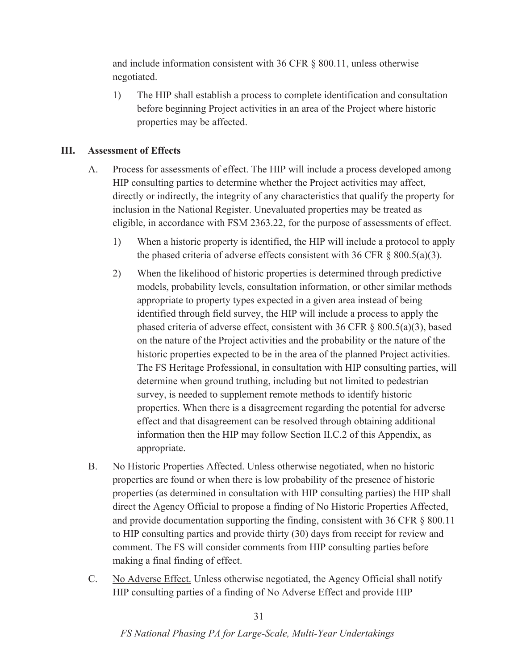and include information consistent with 36 CFR § 800.11, unless otherwise negotiated.

1) The HIP shall establish a process to complete identification and consultation before beginning Project activities in an area of the Project where historic properties may be affected.

### **III. Assessment of Effects**

- A. Process for assessments of effect. The HIP will include a process developed among HIP consulting parties to determine whether the Project activities may affect, directly or indirectly, the integrity of any characteristics that qualify the property for inclusion in the National Register. Unevaluated properties may be treated as eligible, in accordance with FSM 2363.22, for the purpose of assessments of effect.
	- 1) When a historic property is identified, the HIP will include a protocol to apply the phased criteria of adverse effects consistent with 36 CFR  $\S$  800.5(a)(3).
	- 2) When the likelihood of historic properties is determined through predictive models, probability levels, consultation information, or other similar methods appropriate to property types expected in a given area instead of being identified through field survey, the HIP will include a process to apply the phased criteria of adverse effect, consistent with 36 CFR  $\S$  800.5(a)(3), based on the nature of the Project activities and the probability or the nature of the historic properties expected to be in the area of the planned Project activities. The FS Heritage Professional, in consultation with HIP consulting parties, will determine when ground truthing, including but not limited to pedestrian survey, is needed to supplement remote methods to identify historic properties. When there is a disagreement regarding the potential for adverse effect and that disagreement can be resolved through obtaining additional information then the HIP may follow Section II.C.2 of this Appendix, as appropriate.
- B. No Historic Properties Affected. Unless otherwise negotiated, when no historic properties are found or when there is low probability of the presence of historic properties (as determined in consultation with HIP consulting parties) the HIP shall direct the Agency Official to propose a finding of No Historic Properties Affected, and provide documentation supporting the finding, consistent with 36 CFR § 800.11 to HIP consulting parties and provide thirty (30) days from receipt for review and comment. The FS will consider comments from HIP consulting parties before making a final finding of effect.
- C. No Adverse Effect. Unless otherwise negotiated, the Agency Official shall notify HIP consulting parties of a finding of No Adverse Effect and provide HIP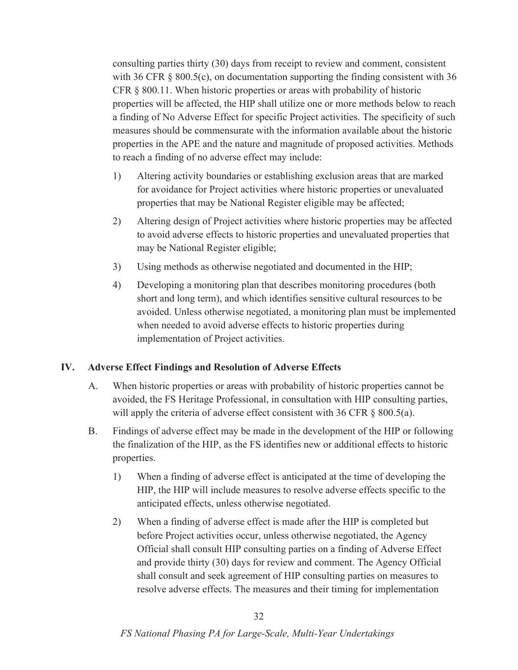consulting parties thirty (30) days from receipt to review and comment, consistent with 36 CFR § 800.5(c), on documentation supporting the finding consistent with 36 CFR § 800.11. When historic properties or areas with probability of historic properties will be affected, the HIP shall utilize one or more methods below to reach a finding of No Adverse Effect for specific Project activities. The specificity of such measures should be commensurate with the information available about the historic properties in the APE and the nature and magnitude of proposed activities. Methods to reach a finding of no adverse effect may include:

- 1) Altering activity boundaries or establishing exclusion areas that are marked for avoidance for Project activities where historic properties or unevaluated properties that may be National Register eligible may be affected;
- 2) Altering design of Project activities where historic properties may be affected to avoid adverse effects to historic properties and unevaluated properties that may be National Register eligible;
- 3) Using methods as otherwise negotiated and documented in the HIP;
- 4) Developing a monitoring plan that describes monitoring procedures (both short and long term), and which identifies sensitive cultural resources to be avoided. Unless otherwise negotiated, a monitoring plan must be implemented when needed to avoid adverse effects to historic properties during implementation of Project activities.

#### **IV. Adverse Effect Findings and Resolution of Adverse Effects**

- A. When historic properties or areas with probability of historic properties cannot be avoided, the FS Heritage Professional, in consultation with HIP consulting parties, will apply the criteria of adverse effect consistent with 36 CFR § 800.5(a).
- B. Findings of adverse effect may be made in the development of the HIP or following the finalization of the HIP, as the FS identifies new or additional effects to historic properties.
	- 1) When a finding of adverse effect is anticipated at the time of developing the HIP, the HIP will include measures to resolve adverse effects specific to the anticipated effects, unless otherwise negotiated.
	- 2) When a finding of adverse effect is made after the HIP is completed but before Project activities occur, unless otherwise negotiated, the Agency Official shall consult HIP consulting parties on a finding of Adverse Effect and provide thirty (30) days for review and comment. The Agency Official shall consult and seek agreement of HIP consulting parties on measures to resolve adverse effects. The measures and their timing for implementation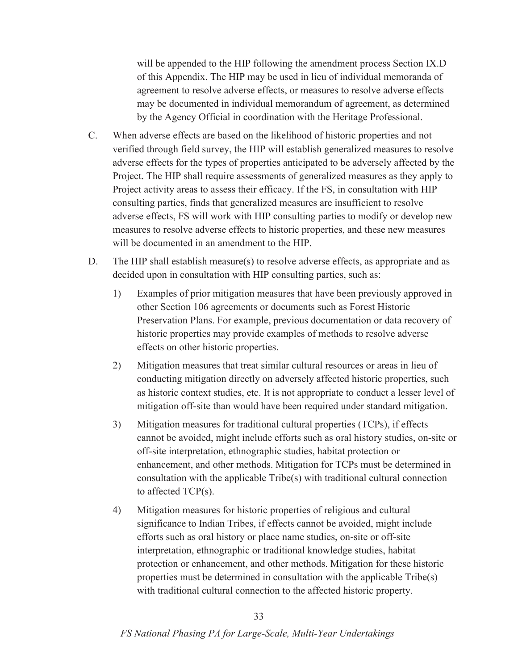will be appended to the HIP following the amendment process Section IX.D of this Appendix. The HIP may be used in lieu of individual memoranda of agreement to resolve adverse effects, or measures to resolve adverse effects may be documented in individual memorandum of agreement, as determined by the Agency Official in coordination with the Heritage Professional.

- C. When adverse effects are based on the likelihood of historic properties and not verified through field survey, the HIP will establish generalized measures to resolve adverse effects for the types of properties anticipated to be adversely affected by the Project. The HIP shall require assessments of generalized measures as they apply to Project activity areas to assess their efficacy. If the FS, in consultation with HIP consulting parties, finds that generalized measures are insufficient to resolve adverse effects, FS will work with HIP consulting parties to modify or develop new measures to resolve adverse effects to historic properties, and these new measures will be documented in an amendment to the HIP.
- D. The HIP shall establish measure(s) to resolve adverse effects, as appropriate and as decided upon in consultation with HIP consulting parties, such as:
	- 1) Examples of prior mitigation measures that have been previously approved in other Section 106 agreements or documents such as Forest Historic Preservation Plans. For example, previous documentation or data recovery of historic properties may provide examples of methods to resolve adverse effects on other historic properties.
	- 2) Mitigation measures that treat similar cultural resources or areas in lieu of conducting mitigation directly on adversely affected historic properties, such as historic context studies, etc. It is not appropriate to conduct a lesser level of mitigation off-site than would have been required under standard mitigation.
	- 3) Mitigation measures for traditional cultural properties (TCPs), if effects cannot be avoided, might include efforts such as oral history studies, on-site or off-site interpretation, ethnographic studies, habitat protection or enhancement, and other methods. Mitigation for TCPs must be determined in consultation with the applicable Tribe(s) with traditional cultural connection to affected TCP(s).
	- 4) Mitigation measures for historic properties of religious and cultural significance to Indian Tribes, if effects cannot be avoided, might include efforts such as oral history or place name studies, on-site or off-site interpretation, ethnographic or traditional knowledge studies, habitat protection or enhancement, and other methods. Mitigation for these historic properties must be determined in consultation with the applicable Tribe(s) with traditional cultural connection to the affected historic property.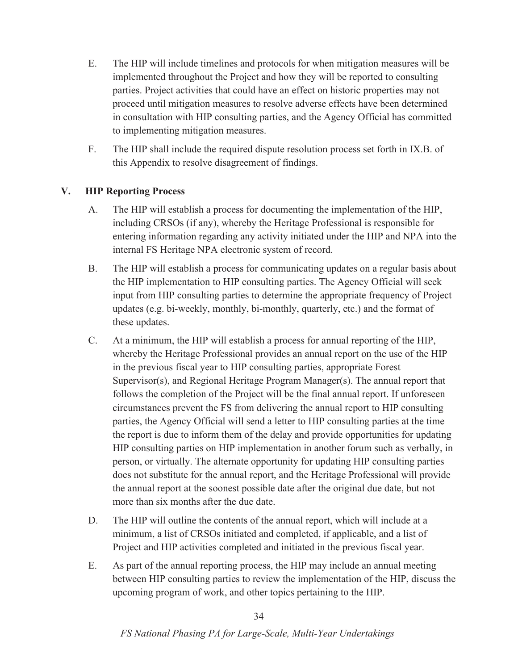- E. The HIP will include timelines and protocols for when mitigation measures will be implemented throughout the Project and how they will be reported to consulting parties. Project activities that could have an effect on historic properties may not proceed until mitigation measures to resolve adverse effects have been determined in consultation with HIP consulting parties, and the Agency Official has committed to implementing mitigation measures.
- F. The HIP shall include the required dispute resolution process set forth in IX.B. of this Appendix to resolve disagreement of findings.

### **V. HIP Reporting Process**

- A. The HIP will establish a process for documenting the implementation of the HIP, including CRSOs (if any), whereby the Heritage Professional is responsible for entering information regarding any activity initiated under the HIP and NPA into the internal FS Heritage NPA electronic system of record.
- B. The HIP will establish a process for communicating updates on a regular basis about the HIP implementation to HIP consulting parties. The Agency Official will seek input from HIP consulting parties to determine the appropriate frequency of Project updates (e.g. bi-weekly, monthly, bi-monthly, quarterly, etc.) and the format of these updates.
- C. At a minimum, the HIP will establish a process for annual reporting of the HIP, whereby the Heritage Professional provides an annual report on the use of the HIP in the previous fiscal year to HIP consulting parties, appropriate Forest Supervisor(s), and Regional Heritage Program Manager(s). The annual report that follows the completion of the Project will be the final annual report. If unforeseen circumstances prevent the FS from delivering the annual report to HIP consulting parties, the Agency Official will send a letter to HIP consulting parties at the time the report is due to inform them of the delay and provide opportunities for updating HIP consulting parties on HIP implementation in another forum such as verbally, in person, or virtually. The alternate opportunity for updating HIP consulting parties does not substitute for the annual report, and the Heritage Professional will provide the annual report at the soonest possible date after the original due date, but not more than six months after the due date.
- D. The HIP will outline the contents of the annual report, which will include at a minimum, a list of CRSOs initiated and completed, if applicable, and a list of Project and HIP activities completed and initiated in the previous fiscal year.
- E. As part of the annual reporting process, the HIP may include an annual meeting between HIP consulting parties to review the implementation of the HIP, discuss the upcoming program of work, and other topics pertaining to the HIP.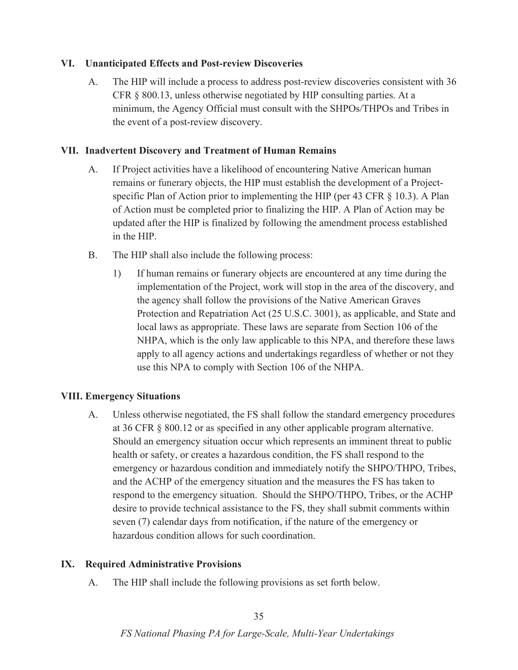#### **VI. Unanticipated Effects and Post-review Discoveries**

A. The HIP will include a process to address post-review discoveries consistent with 36 CFR § 800.13, unless otherwise negotiated by HIP consulting parties. At a minimum, the Agency Official must consult with the SHPOs/THPOs and Tribes in the event of a post-review discovery.

#### **VII. Inadvertent Discovery and Treatment of Human Remains**

- A. If Project activities have a likelihood of encountering Native American human remains or funerary objects, the HIP must establish the development of a Projectspecific Plan of Action prior to implementing the HIP (per 43 CFR § 10.3). A Plan of Action must be completed prior to finalizing the HIP. A Plan of Action may be updated after the HIP is finalized by following the amendment process established in the HIP.
- B. The HIP shall also include the following process:
	- 1) If human remains or funerary objects are encountered at any time during the implementation of the Project, work will stop in the area of the discovery, and the agency shall follow the provisions of the Native American Graves Protection and Repatriation Act (25 U.S.C. 3001), as applicable, and State and local laws as appropriate. These laws are separate from Section 106 of the NHPA, which is the only law applicable to this NPA, and therefore these laws apply to all agency actions and undertakings regardless of whether or not they use this NPA to comply with Section 106 of the NHPA.

#### **VIII. Emergency Situations**

A. Unless otherwise negotiated, the FS shall follow the standard emergency procedures at 36 CFR § 800.12 or as specified in any other applicable program alternative. Should an emergency situation occur which represents an imminent threat to public health or safety, or creates a hazardous condition, the FS shall respond to the emergency or hazardous condition and immediately notify the SHPO/THPO, Tribes, and the ACHP of the emergency situation and the measures the FS has taken to respond to the emergency situation. Should the SHPO/THPO, Tribes, or the ACHP desire to provide technical assistance to the FS, they shall submit comments within seven (7) calendar days from notification, if the nature of the emergency or hazardous condition allows for such coordination.

#### **IX. Required Administrative Provisions**

A. The HIP shall include the following provisions as set forth below.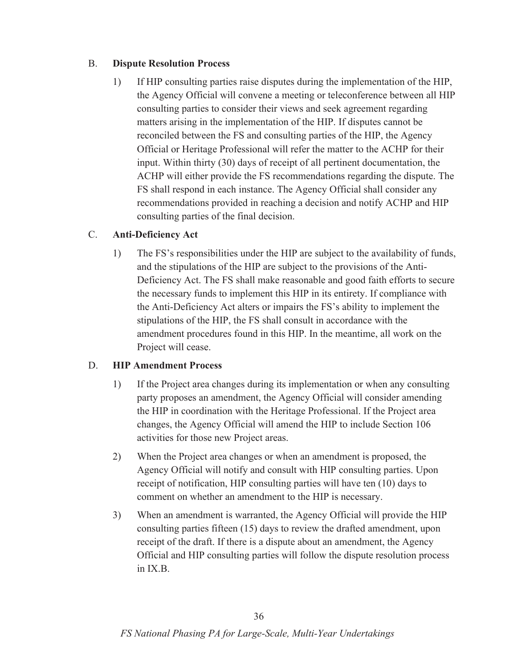#### B. **Dispute Resolution Process**

1) If HIP consulting parties raise disputes during the implementation of the HIP, the Agency Official will convene a meeting or teleconference between all HIP consulting parties to consider their views and seek agreement regarding matters arising in the implementation of the HIP. If disputes cannot be reconciled between the FS and consulting parties of the HIP, the Agency Official or Heritage Professional will refer the matter to the ACHP for their input. Within thirty (30) days of receipt of all pertinent documentation, the ACHP will either provide the FS recommendations regarding the dispute. The FS shall respond in each instance. The Agency Official shall consider any recommendations provided in reaching a decision and notify ACHP and HIP consulting parties of the final decision.

# C. **Anti-Deficiency Act**

1) The FS's responsibilities under the HIP are subject to the availability of funds, and the stipulations of the HIP are subject to the provisions of the Anti-Deficiency Act. The FS shall make reasonable and good faith efforts to secure the necessary funds to implement this HIP in its entirety. If compliance with the Anti-Deficiency Act alters or impairs the FS's ability to implement the stipulations of the HIP, the FS shall consult in accordance with the amendment procedures found in this HIP. In the meantime, all work on the Project will cease.

# D. **HIP Amendment Process**

- 1) If the Project area changes during its implementation or when any consulting party proposes an amendment, the Agency Official will consider amending the HIP in coordination with the Heritage Professional. If the Project area changes, the Agency Official will amend the HIP to include Section 106 activities for those new Project areas.
- 2) When the Project area changes or when an amendment is proposed, the Agency Official will notify and consult with HIP consulting parties. Upon receipt of notification, HIP consulting parties will have ten (10) days to comment on whether an amendment to the HIP is necessary.
- 3) When an amendment is warranted, the Agency Official will provide the HIP consulting parties fifteen (15) days to review the drafted amendment, upon receipt of the draft. If there is a dispute about an amendment, the Agency Official and HIP consulting parties will follow the dispute resolution process in IX.B.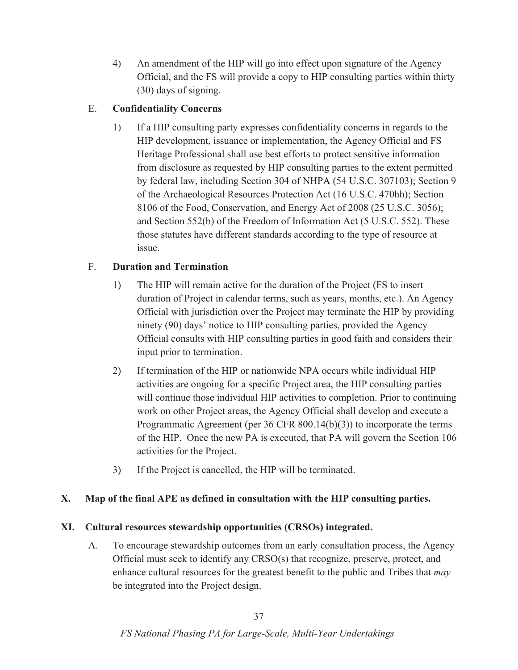4) An amendment of the HIP will go into effect upon signature of the Agency Official, and the FS will provide a copy to HIP consulting parties within thirty (30) days of signing.

# E. **Confidentiality Concerns**

1) If a HIP consulting party expresses confidentiality concerns in regards to the HIP development, issuance or implementation, the Agency Official and FS Heritage Professional shall use best efforts to protect sensitive information from disclosure as requested by HIP consulting parties to the extent permitted by federal law, including Section 304 of NHPA (54 U.S.C. 307103); Section 9 of the Archaeological Resources Protection Act (16 U.S.C. 470hh); Section 8106 of the Food, Conservation, and Energy Act of 2008 (25 U.S.C. 3056); and Section 552(b) of the Freedom of Information Act (5 U.S.C. 552). These those statutes have different standards according to the type of resource at issue.

# F. **Duration and Termination**

- 1) The HIP will remain active for the duration of the Project (FS to insert duration of Project in calendar terms, such as years, months, etc.). An Agency Official with jurisdiction over the Project may terminate the HIP by providing ninety (90) days' notice to HIP consulting parties, provided the Agency Official consults with HIP consulting parties in good faith and considers their input prior to termination.
- 2) If termination of the HIP or nationwide NPA occurs while individual HIP activities are ongoing for a specific Project area, the HIP consulting parties will continue those individual HIP activities to completion. Prior to continuing work on other Project areas, the Agency Official shall develop and execute a Programmatic Agreement (per 36 CFR 800.14(b)(3)) to incorporate the terms of the HIP. Once the new PA is executed, that PA will govern the Section 106 activities for the Project.
- 3) If the Project is cancelled, the HIP will be terminated.

# **X. Map of the final APE as defined in consultation with the HIP consulting parties.**

# **XI. Cultural resources stewardship opportunities (CRSOs) integrated.**

A. To encourage stewardship outcomes from an early consultation process, the Agency Official must seek to identify any CRSO(s) that recognize, preserve, protect, and enhance cultural resources for the greatest benefit to the public and Tribes that *may* be integrated into the Project design.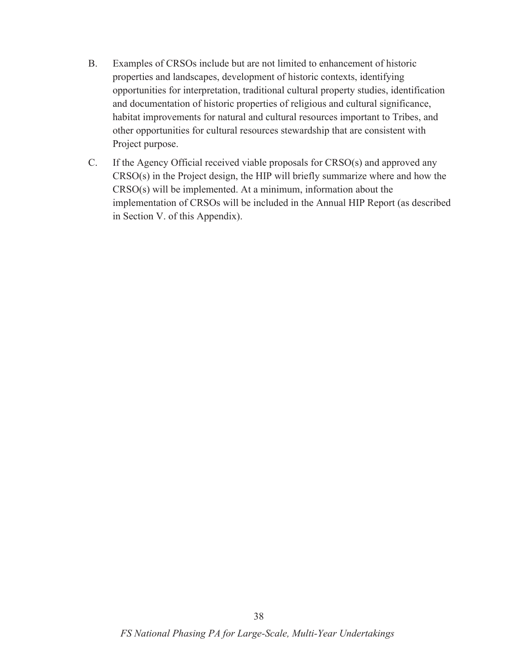- B. Examples of CRSOs include but are not limited to enhancement of historic properties and landscapes, development of historic contexts, identifying opportunities for interpretation, traditional cultural property studies, identification and documentation of historic properties of religious and cultural significance, habitat improvements for natural and cultural resources important to Tribes, and other opportunities for cultural resources stewardship that are consistent with Project purpose.
- C. If the Agency Official received viable proposals for CRSO(s) and approved any CRSO(s) in the Project design, the HIP will briefly summarize where and how the CRSO(s) will be implemented. At a minimum, information about the implementation of CRSOs will be included in the Annual HIP Report (as described in Section V. of this Appendix).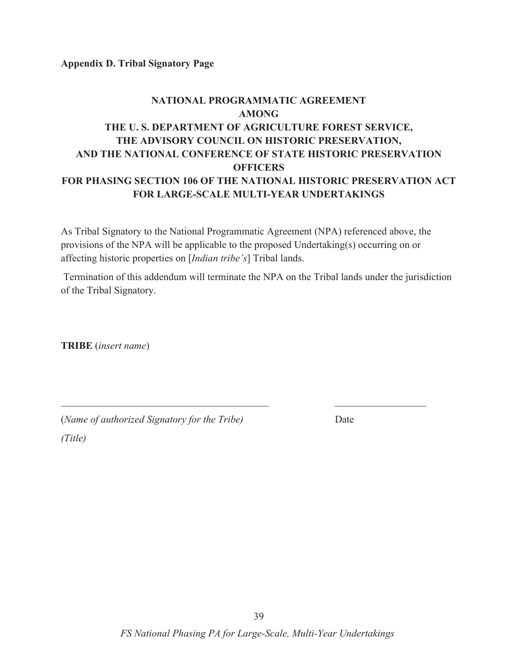**Appendix D. Tribal Signatory Page** 

# **NATIONAL PROGRAMMATIC AGREEMENT AMONG THE U. S. DEPARTMENT OF AGRICULTURE FOREST SERVICE, THE ADVISORY COUNCIL ON HISTORIC PRESERVATION, AND THE NATIONAL CONFERENCE OF STATE HISTORIC PRESERVATION OFFICERS FOR PHASING SECTION 106 OF THE NATIONAL HISTORIC PRESERVATION ACT FOR LARGE-SCALE MULTI-YEAR UNDERTAKINGS**

As Tribal Signatory to the National Programmatic Agreement (NPA) referenced above, the provisions of the NPA will be applicable to the proposed Undertaking(s) occurring on or affecting historic properties on [*Indian tribe's*] Tribal lands.

 $\mathcal{L}_\text{max} = \mathcal{L}_\text{max} = \mathcal{L}_\text{max} = \mathcal{L}_\text{max} = \mathcal{L}_\text{max} = \mathcal{L}_\text{max} = \mathcal{L}_\text{max} = \mathcal{L}_\text{max} = \mathcal{L}_\text{max} = \mathcal{L}_\text{max} = \mathcal{L}_\text{max} = \mathcal{L}_\text{max} = \mathcal{L}_\text{max} = \mathcal{L}_\text{max} = \mathcal{L}_\text{max} = \mathcal{L}_\text{max} = \mathcal{L}_\text{max} = \mathcal{L}_\text{max} = \mathcal{$ 

 Termination of this addendum will terminate the NPA on the Tribal lands under the jurisdiction of the Tribal Signatory.

**TRIBE** (*insert name*)

| (Name of authorized Signatory for the Tribe) | Date |
|----------------------------------------------|------|
| (Title)                                      |      |